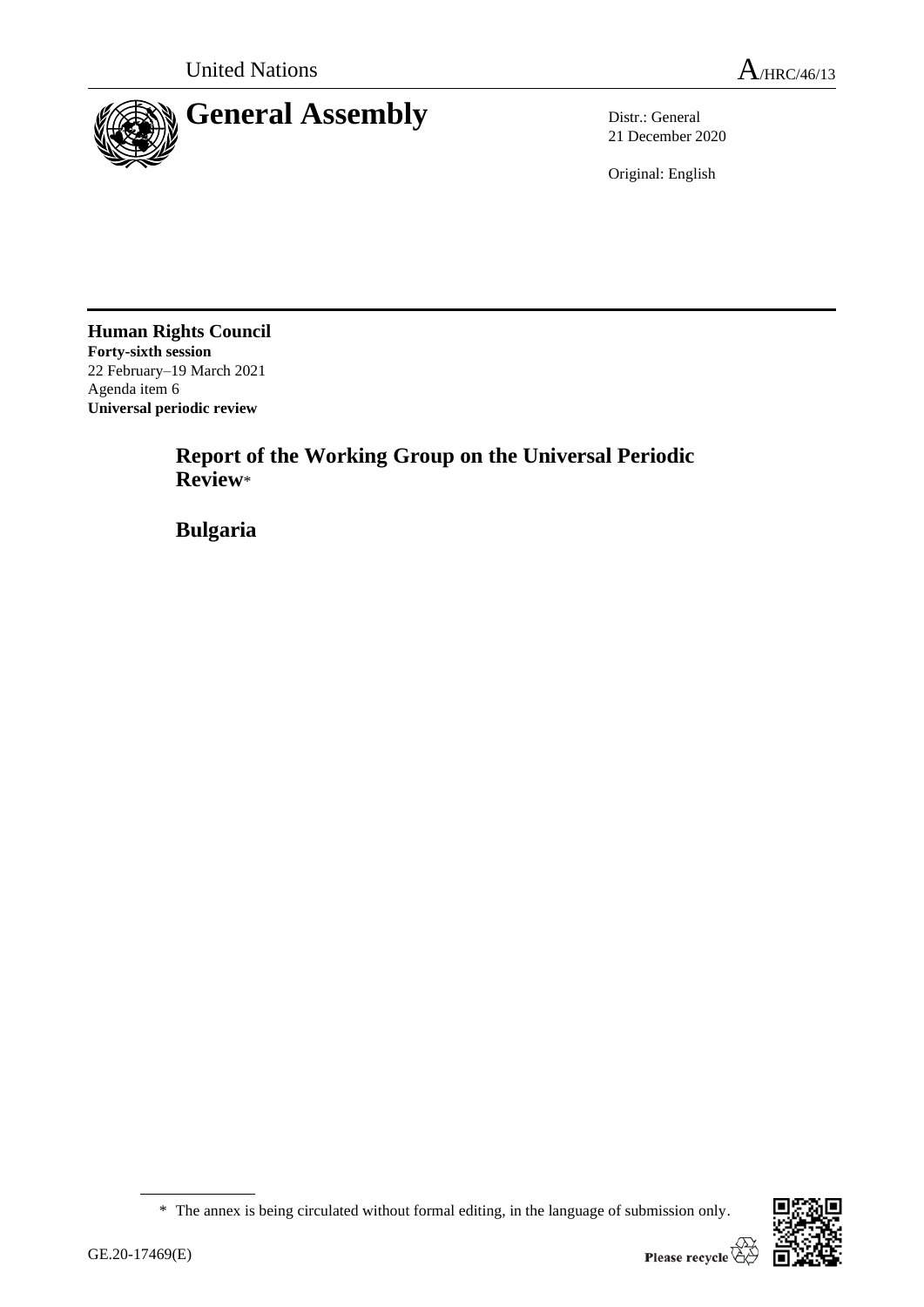

21 December 2020

Original: English

**Human Rights Council Forty-sixth session** 22 February–19 March 2021 Agenda item 6 **Universal periodic review**

> **Report of the Working Group on the Universal Periodic Review**\*

**Bulgaria**

<sup>\*</sup> The annex is being circulated without formal editing, in the language of submission only.

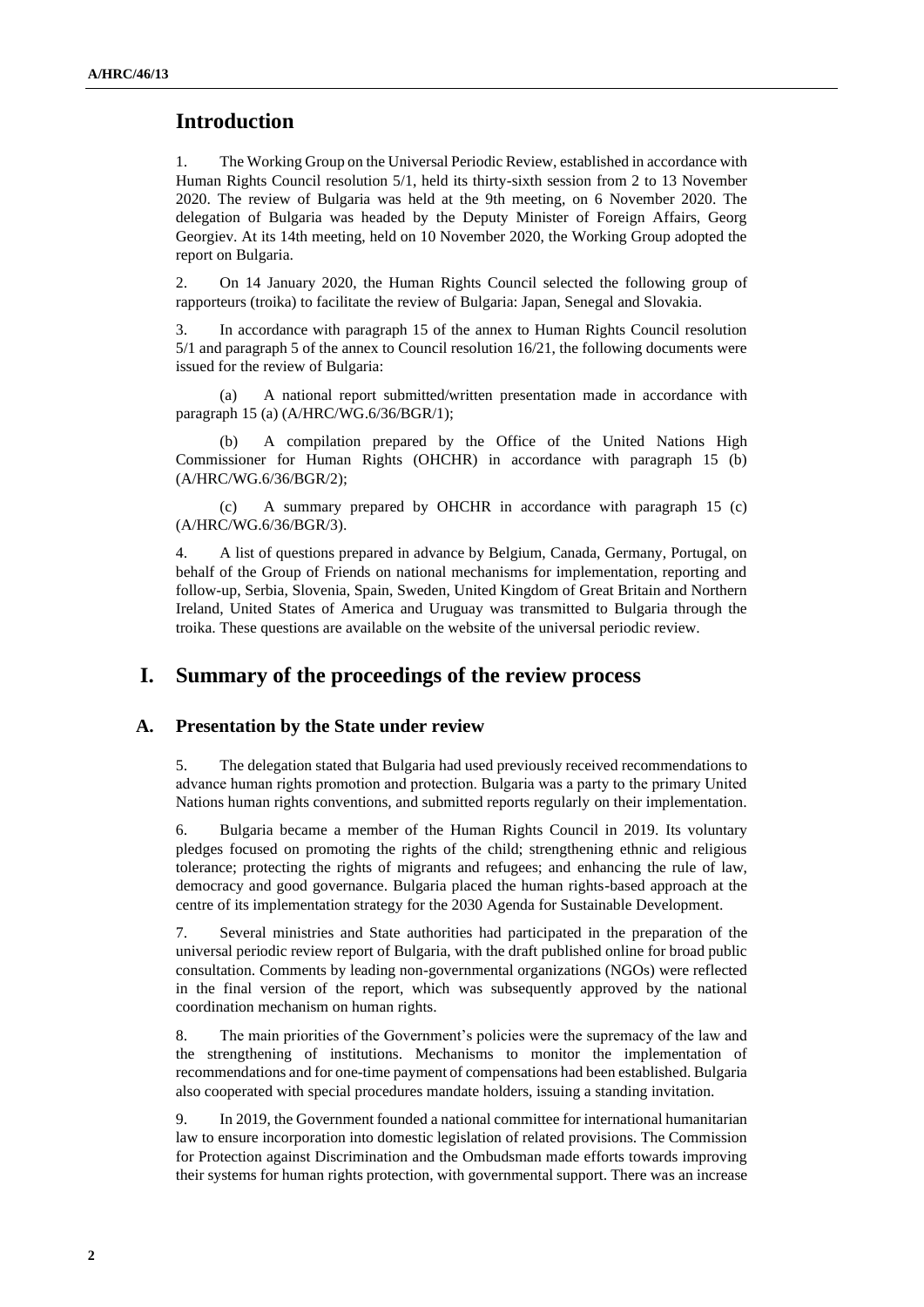# **Introduction**

1. The Working Group on the Universal Periodic Review, established in accordance with Human Rights Council resolution 5/1, held its thirty-sixth session from 2 to 13 November 2020. The review of Bulgaria was held at the 9th meeting, on 6 November 2020. The delegation of Bulgaria was headed by the Deputy Minister of Foreign Affairs, Georg Georgiev. At its 14th meeting, held on 10 November 2020, the Working Group adopted the report on Bulgaria.

2. On 14 January 2020, the Human Rights Council selected the following group of rapporteurs (troika) to facilitate the review of Bulgaria: Japan, Senegal and Slovakia.

3. In accordance with paragraph 15 of the annex to Human Rights Council resolution 5/1 and paragraph 5 of the annex to Council resolution 16/21, the following documents were issued for the review of Bulgaria:

(a) A national report submitted/written presentation made in accordance with paragraph 15 (a) (A/HRC/WG.6/36/BGR/1);

A compilation prepared by the Office of the United Nations High Commissioner for Human Rights (OHCHR) in accordance with paragraph 15 (b) (A/HRC/WG.6/36/BGR/2);

(c) A summary prepared by OHCHR in accordance with paragraph 15 (c) (A/HRC/WG.6/36/BGR/3).

4. A list of questions prepared in advance by Belgium, Canada, Germany, Portugal, on behalf of the Group of Friends on national mechanisms for implementation, reporting and follow-up, Serbia, Slovenia, Spain, Sweden, United Kingdom of Great Britain and Northern Ireland, United States of America and Uruguay was transmitted to Bulgaria through the troika. These questions are available on the website of the universal periodic review.

## **I. Summary of the proceedings of the review process**

### **A. Presentation by the State under review**

5. The delegation stated that Bulgaria had used previously received recommendations to advance human rights promotion and protection. Bulgaria was а party to the primary United Nations human rights conventions, and submitted reports regularly on their implementation.

6. Bulgaria became a member of the Human Rights Council in 2019. Its voluntary pledges focused on promoting the rights of the child; strengthening ethnic and religious tolerance; protecting the rights of migrants and refugees; and enhancing the rule of law, democracy and good governance. Bulgaria placed the human rights-based approach at the centre of its implementation strategy for the 2030 Agenda for Sustainable Development.

7. Several ministries and State authorities had participated in the preparation of the universal periodic review report of Bulgaria, with the draft published online for broad public consultation. Comments by leading non-governmental organizations (NGOs) were reflected in the final version of the report, which was subsequently approved by the national coordination mechanism on human rights.

8. The main priorities of the Government's policies were the supremacy of the law and the strengthening of institutions. Mechanisms to monitor the implementation of recommendations and for one-time payment of compensations had been established. Bulgaria also cooperated with special procedures mandate holders, issuing a standing invitation.

9. In 2019, the Government founded a national committee for international humanitarian law to ensure incorporation into domestic legislation of related provisions. The Commission for Protection against Discrimination and the Ombudsman made efforts towards improving their systems for human rights protection, with governmental support. There was an increase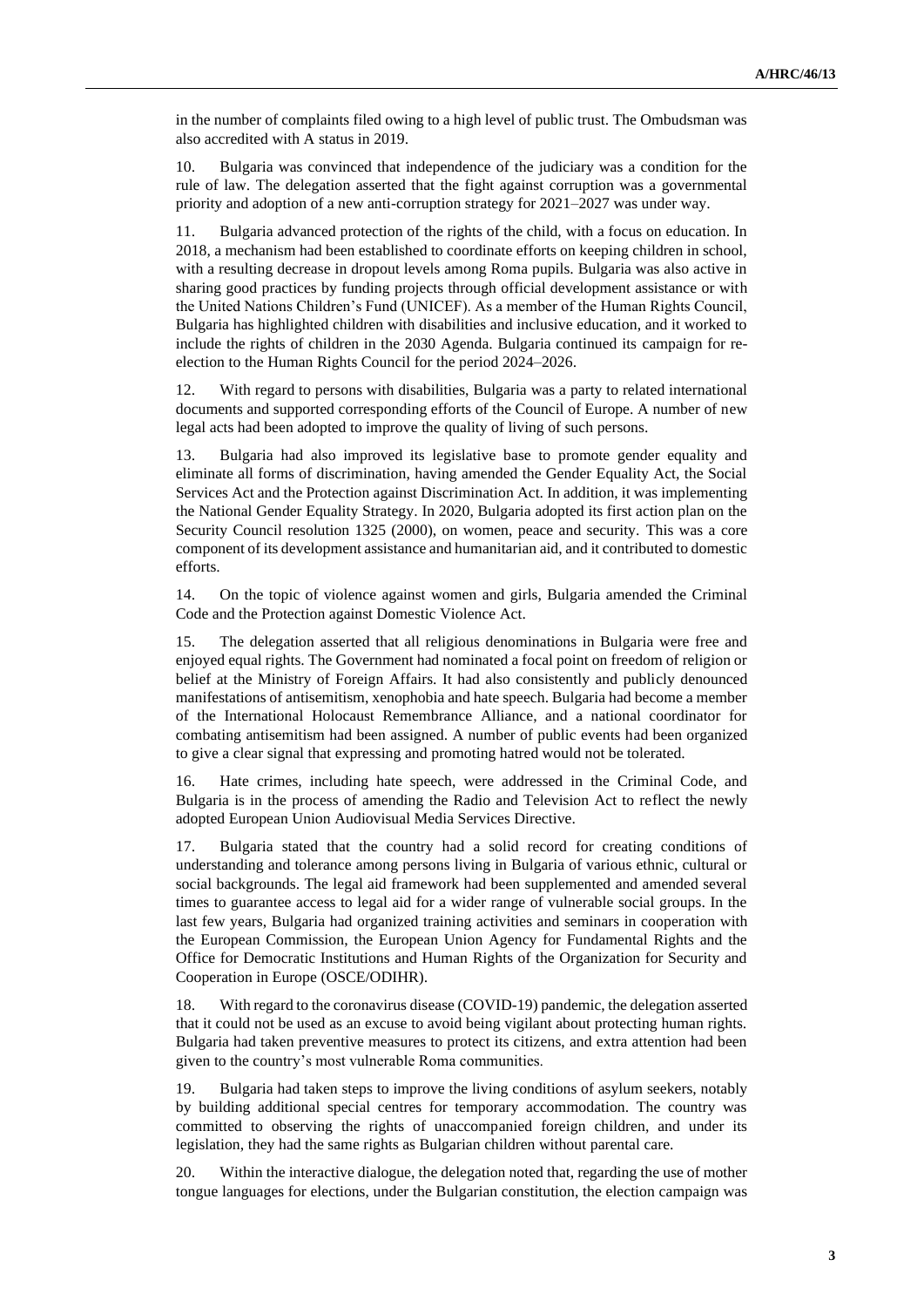in the number of complaints filed owing to a high level of public trust. The Ombudsman was also accredited with A status in 2019.

10. Bulgaria was convinced that independence of the judiciary was a condition for the rule of law. The delegation asserted that the fight against corruption was a governmental priority and adoption of a new anti-corruption strategy for 2021–2027 was under way.

11. Bulgaria advanced protection of the rights of the child, with a focus on education. In 2018, a mechanism had been established to coordinate efforts on keeping children in school, with a resulting decrease in dropout levels among Roma pupils. Bulgaria was also active in sharing good practices by funding projects through official development assistance or with the United Nations Children's Fund (UNICEF). As a member of the Human Rights Council, Bulgaria has highlighted children with disabilities and inclusive education, and it worked to include the rights of children in the 2030 Agenda. Bulgaria continued its campaign for reelection to the Human Rights Council for the period 2024–2026.

12. With regard to persons with disabilities, Bulgaria was a party to related international documents and supported corresponding efforts of the Council of Europe. A number of new legal acts had been adopted to improve the quality of living of such persons.

13. Bulgaria had also improved its legislative base to promote gender equality and eliminate all forms of discrimination, having amended the Gender Equality Act, the Social Services Act and the Protection against Discrimination Act. In addition, it was implementing the National Gender Equality Strategy. In 2020, Bulgaria adopted its first action plan on the Security Council resolution 1325 (2000), on women, peace and security. This was a core component of its development assistance and humanitarian aid, and it contributed to domestic efforts.

14. On the topic of violence against women and girls, Bulgaria amended the Criminal Code and the Protection against Domestic Violence Act.

15. The delegation asserted that all religious denominations in Bulgaria were free and enjoyed equal rights. The Government had nominated a focal point on freedom of religion or belief at the Ministry of Foreign Affairs. It had also consistently and publicly denounced manifestations of antisemitism, xenophobia and hate speech. Bulgaria had become a member of the International Holocaust Remembrance Alliance, and a national coordinator for combating antisemitism had been assigned. A number of public events had been organized to give a clear signal that expressing and promoting hatred would not be tolerated.

16. Hate crimes, including hate speech, were addressed in the Criminal Code, and Bulgaria is in the process of amending the Radio and Television Act to reflect the newly adopted European Union Audiovisual Media Services Directive.

17. Bulgaria stated that the country had a solid record for creating conditions of understanding and tolerance among persons living in Bulgaria of various ethnic, cultural or social backgrounds. The legal aid framework had been supplemented and amended several times to guarantee access to legal aid for a wider range of vulnerable social groups. In the last few years, Bulgaria had organized training activities and seminars in cooperation with the European Commission, the European Union Agency for Fundamental Rights and the Office for Democratic Institutions and Human Rights of the Organization for Security and Cooperation in Europe (OSCE/ODIHR).

18. With regard to the coronavirus disease (COVID-19) pandemic, the delegation asserted that it could not be used as an excuse to avoid being vigilant about protecting human rights. Bulgaria had taken preventive measures to protect its citizens, and extra attention had been given to the country's most vulnerable Roma communities.

19. Bulgaria had taken steps to improve the living conditions of asylum seekers, notably by building additional special centres for temporary accommodation. The country was committed to observing the rights of unaccompanied foreign children, and under its legislation, they had the same rights as Bulgarian children without parental care.

20. Within the interactive dialogue, the delegation noted that, regarding the use of mother tongue languages for elections, under the Bulgarian constitution, the election campaign was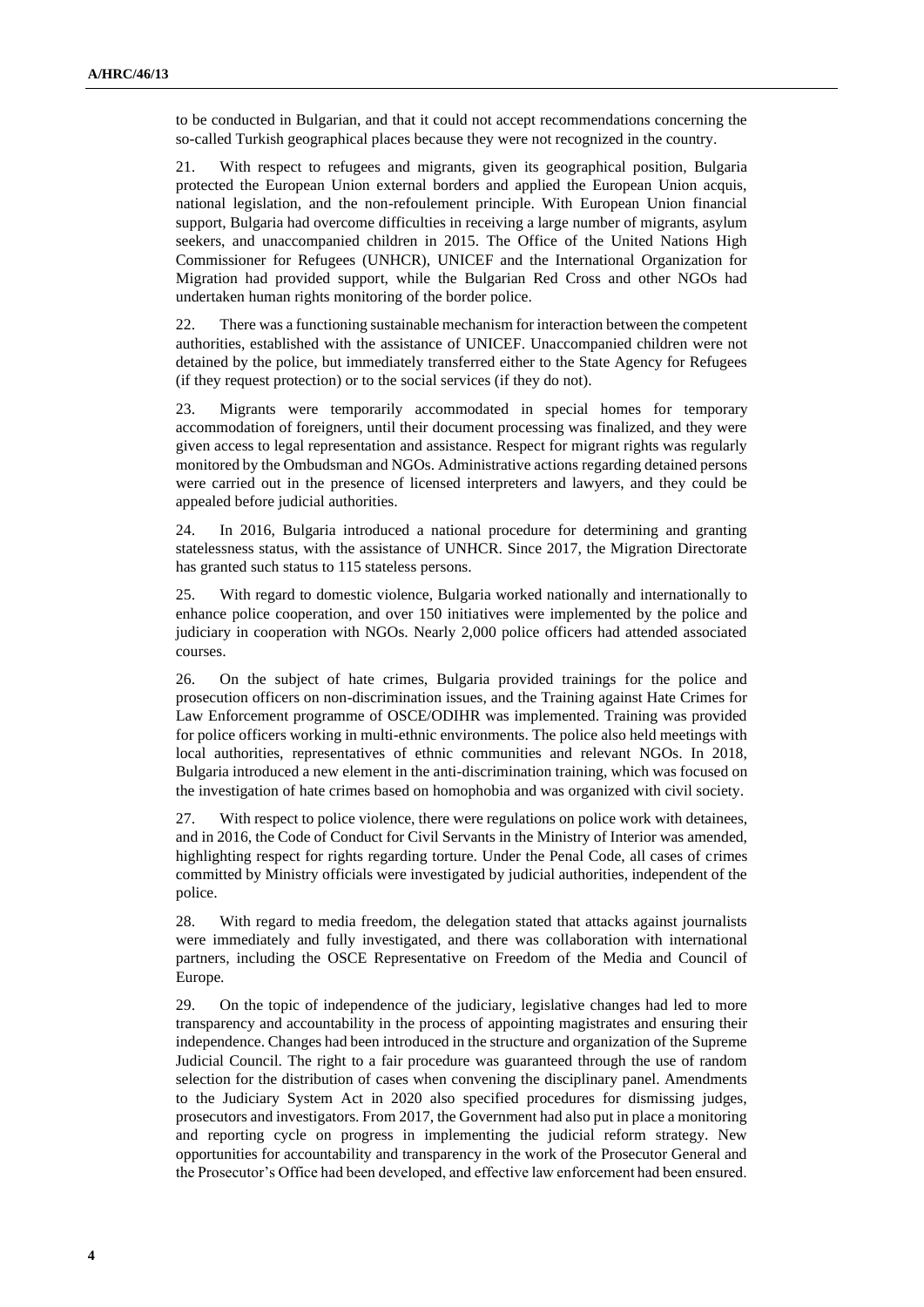to be conducted in Bulgarian, and that it could not accept recommendations concerning the so-called Turkish geographical places because they were not recognized in the country.

21. With respect to refugees and migrants, given its geographical position, Bulgaria protected the European Union external borders and applied the European Union acquis, national legislation, and the non-refoulement principle. With European Union financial support, Bulgaria had overcome difficulties in receiving a large number of migrants, asylum seekers, and unaccompanied children in 2015. The Office of the United Nations High Commissioner for Refugees (UNHCR), UNICEF and the International Organization for Migration had provided support, while the Bulgarian Red Cross and other NGOs had undertaken human rights monitoring of the border police.

22. There was a functioning sustainable mechanism for interaction between the competent authorities, established with the assistance of UNICEF. Unaccompanied children were not detained by the police, but immediately transferred either to the State Agency for Refugees (if they request protection) or to the social services (if they do not).

23. Migrants were temporarily accommodated in special homes for temporary accommodation of foreigners, until their document processing was finalized, and they were given access to legal representation and assistance. Respect for migrant rights was regularly monitored by the Ombudsman and NGOs. Administrative actions regarding detained persons were carried out in the presence of licensed interpreters and lawyers, and they could be appealed before judicial authorities.

24. In 2016, Bulgaria introduced a national procedure for determining and granting statelessness status, with the assistance of UNHCR. Since 2017, the Migration Directorate has granted such status to 115 stateless persons.

25. With regard to domestic violence, Bulgaria worked nationally and internationally to enhance police cooperation, and over 150 initiatives were implemented by the police and judiciary in cooperation with NGOs. Nearly 2,000 police officers had attended associated courses.

26. On the subject of hate crimes, Bulgaria provided trainings for the police and prosecution officers on non-discrimination issues, and the Training against Hate Crimes for Law Enforcement programme of OSCE/ODIHR was implemented. Training was provided for police officers working in multi-ethnic environments. The police also held meetings with local authorities, representatives of ethnic communities and relevant NGOs. In 2018, Bulgaria introduced a new element in the anti-discrimination training, which was focused on the investigation of hate crimes based on homophobia and was organized with civil society.

27. With respect to police violence, there were regulations on police work with detainees, and in 2016, the Code of Conduct for Civil Servants in the Ministry of Interior was amended, highlighting respect for rights regarding torture. Under the Penal Code, all cases of crimes committed by Ministry officials were investigated by judicial authorities, independent of the police.

28. With regard to media freedom, the delegation stated that attacks against journalists were immediately and fully investigated, and there was collaboration with international partners, including the OSCE Representative on Freedom of the Media and Council of Europe.

29. On the topic of independence of the judiciary, legislative changes had led to more transparency and accountability in the process of appointing magistrates and ensuring their independence. Changes had been introduced in the structure and organization of the Supreme Judicial Council. The right to a fair procedure was guaranteed through the use of random selection for the distribution of cases when convening the disciplinary panel. Amendments to the Judiciary System Act in 2020 also specified procedures for dismissing judges, prosecutors and investigators. From 2017, the Government had also put in place a monitoring and reporting cycle on progress in implementing the judicial reform strategy. New opportunities for accountability and transparency in the work of the Prosecutor General and the Prosecutor's Office had been developed, and effective law enforcement had been ensured.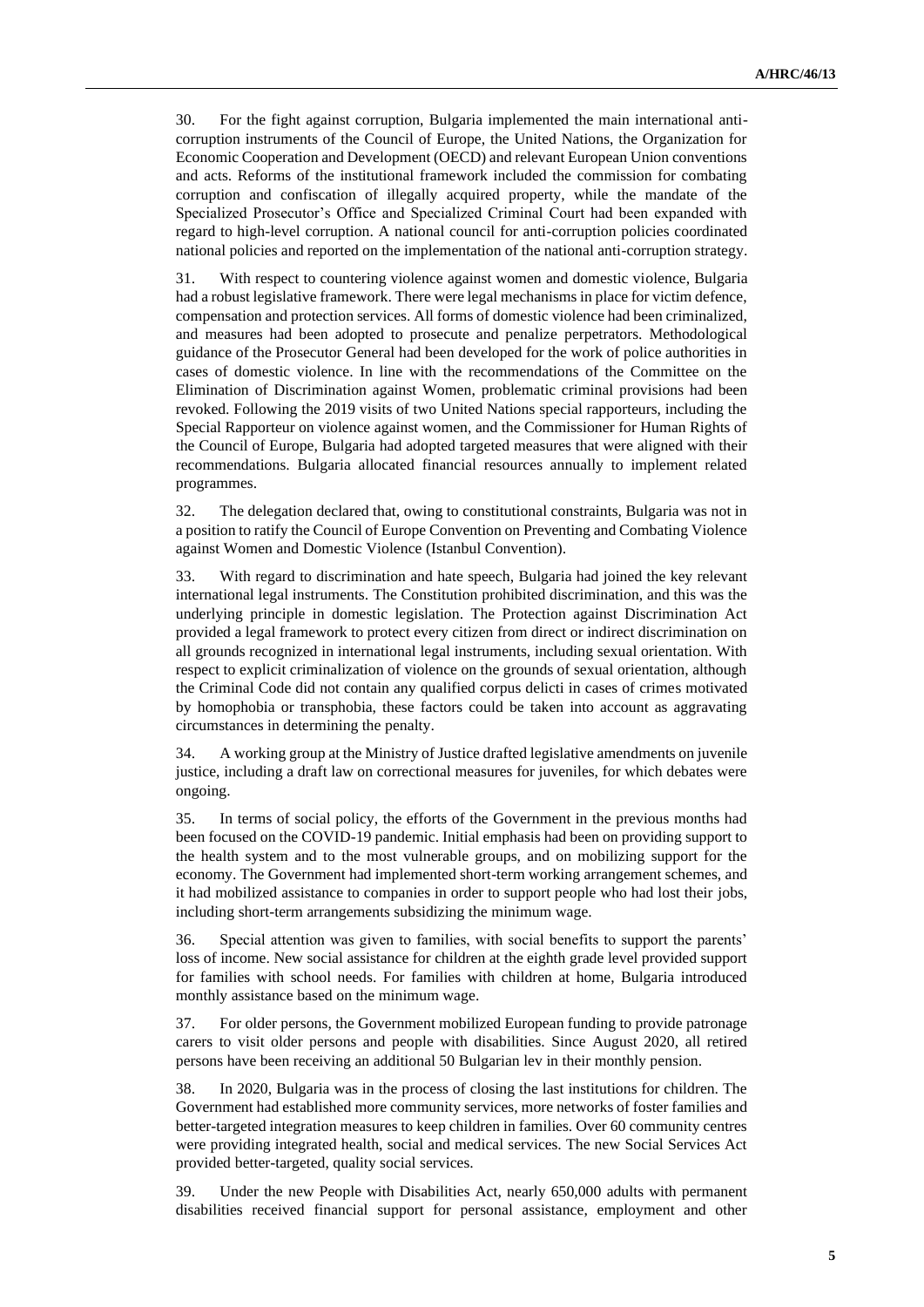30. For the fight against corruption, Bulgaria implemented the main international anticorruption instruments of the Council of Europe, the United Nations, the Organization for Economic Cooperation and Development (OECD) and relevant European Union conventions and acts. Reforms of the institutional framework included the commission for combating corruption and confiscation of illegally acquired property, while the mandate of the Specialized Prosecutor's Office and Specialized Criminal Court had been expanded with regard to high-level corruption. A national council for anti-corruption policies coordinated national policies and reported on the implementation of the national anti-corruption strategy.

31. With respect to countering violence against women and domestic violence, Bulgaria had a robust legislative framework. There were legal mechanisms in place for victim defence, compensation and protection services. All forms of domestic violence had been criminalized, and measures had been adopted to prosecute and penalize perpetrators. Methodological guidance of the Prosecutor General had been developed for the work of police authorities in cases of domestic violence. In line with the recommendations of the Committee on the Elimination of Discrimination against Women, problematic criminal provisions had been revoked. Following the 2019 visits of two United Nations special rapporteurs, including the Special Rapporteur on violence against women, and the Commissioner for Human Rights of the Council of Europe, Bulgaria had adopted targeted measures that were aligned with their recommendations. Bulgaria allocated financial resources annually to implement related programmes.

32. The delegation declared that, owing to constitutional constraints, Bulgaria was not in a position to ratify the Council of Europe Convention on Preventing and Combating Violence against Women and Domestic Violence (Istanbul Convention).

33. With regard to discrimination and hate speech, Bulgaria had joined the key relevant international legal instruments. The Constitution prohibited discrimination, and this was the underlying principle in domestic legislation. The Protection against Discrimination Act provided a legal framework to protect every citizen from direct or indirect discrimination on all grounds recognized in international legal instruments, including sexual orientation. With respect to explicit criminalization of violence on the grounds of sexual orientation, although the Criminal Code did not contain any qualified corpus delicti in cases of crimes motivated by homophobia or transphobia, these factors could be taken into account as aggravating circumstances in determining the penalty.

34. A working group at the Ministry of Justice drafted legislative amendments on juvenile justice, including a draft law on correctional measures for juveniles, for which debates were ongoing.

35. In terms of social policy, the efforts of the Government in the previous months had been focused on the COVID-19 pandemic. Initial emphasis had been on providing support to the health system and to the most vulnerable groups, and on mobilizing support for the economy. The Government had implemented short-term working arrangement schemes, and it had mobilized assistance to companies in order to support people who had lost their jobs, including short-term arrangements subsidizing the minimum wage.

36. Special attention was given to families, with social benefits to support the parents' loss of income. New social assistance for children at the eighth grade level provided support for families with school needs. For families with children at home, Bulgaria introduced monthly assistance based on the minimum wage.

37. For older persons, the Government mobilized European funding to provide patronage carers to visit older persons and people with disabilities. Since August 2020, all retired persons have been receiving an additional 50 Bulgarian lev in their monthly pension.

38. In 2020, Bulgaria was in the process of closing the last institutions for children. The Government had established more community services, more networks of foster families and better-targeted integration measures to keep children in families. Over 60 community centres were providing integrated health, social and medical services. The new Social Services Act provided better-targeted, quality social services.

39. Under the new People with Disabilities Act, nearly 650,000 adults with permanent disabilities received financial support for personal assistance, employment and other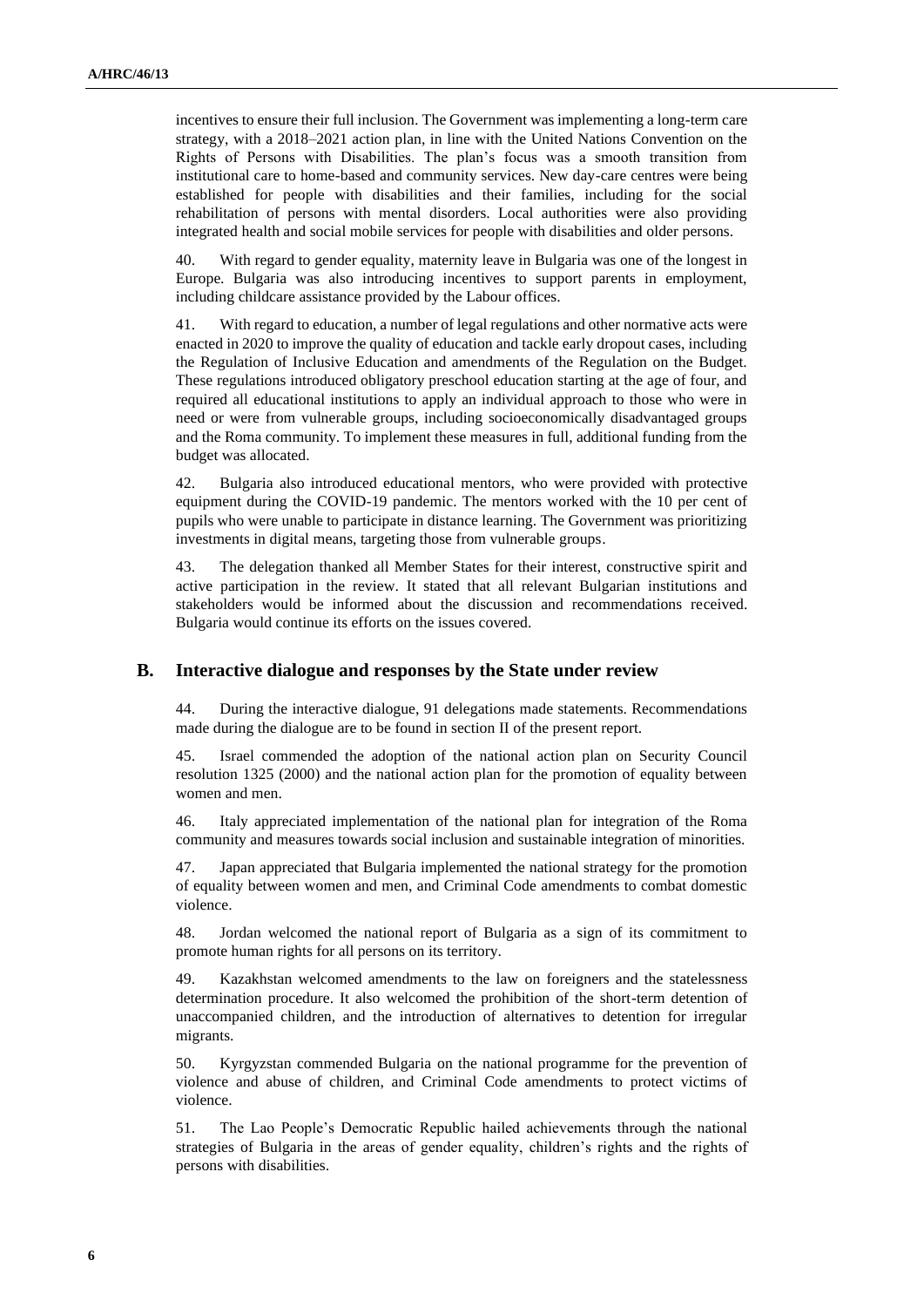incentives to ensure their full inclusion. The Government was implementing a long-term care strategy, with a 2018–2021 action plan, in line with the United Nations Convention on the Rights of Persons with Disabilities. The plan's focus was a smooth transition from institutional care to home-based and community services. New day-care centres were being established for people with disabilities and their families, including for the social rehabilitation of persons with mental disorders. Local authorities were also providing integrated health and social mobile services for people with disabilities and older persons.

40. With regard to gender equality, maternity leave in Bulgaria was one of the longest in Europe. Bulgaria was also introducing incentives to support parents in employment, including childcare assistance provided by the Labour offices.

41. With regard to education, a number of legal regulations and other normative acts were enacted in 2020 to improve the quality of education and tackle early dropout cases, including the Regulation of Inclusive Education and amendments of the Regulation on the Budget. These regulations introduced obligatory preschool education starting at the age of four, and required all educational institutions to apply an individual approach to those who were in need or were from vulnerable groups, including socioeconomically disadvantaged groups and the Roma community. To implement these measures in full, additional funding from the budget was allocated.

42. Bulgaria also introduced educational mentors, who were provided with protective equipment during the COVID-19 pandemic. The mentors worked with the 10 per cent of pupils who were unable to participate in distance learning. The Government was prioritizing investments in digital means, targeting those from vulnerable groups.

43. The delegation thanked all Member States for their interest, constructive spirit and active participation in the review. It stated that all relevant Bulgarian institutions and stakeholders would be informed about the discussion and recommendations received. Bulgaria would continue its efforts on the issues covered.

#### **B. Interactive dialogue and responses by the State under review**

44. During the interactive dialogue, 91 delegations made statements. Recommendations made during the dialogue are to be found in section II of the present report.

45. Israel commended the adoption of the national action plan on Security Council resolution 1325 (2000) and the national action plan for the promotion of equality between women and men.

46. Italy appreciated implementation of the national plan for integration of the Roma community and measures towards social inclusion and sustainable integration of minorities.

47. Japan appreciated that Bulgaria implemented the national strategy for the promotion of equality between women and men, and Criminal Code amendments to combat domestic violence.

48. Jordan welcomed the national report of Bulgaria as a sign of its commitment to promote human rights for all persons on its territory.

49. Kazakhstan welcomed amendments to the law on foreigners and the statelessness determination procedure. It also welcomed the prohibition of the short-term detention of unaccompanied children, and the introduction of alternatives to detention for irregular migrants.

50. Kyrgyzstan commended Bulgaria on the national programme for the prevention of violence and abuse of children, and Criminal Code amendments to protect victims of violence.

51. The Lao People's Democratic Republic hailed achievements through the national strategies of Bulgaria in the areas of gender equality, children's rights and the rights of persons with disabilities.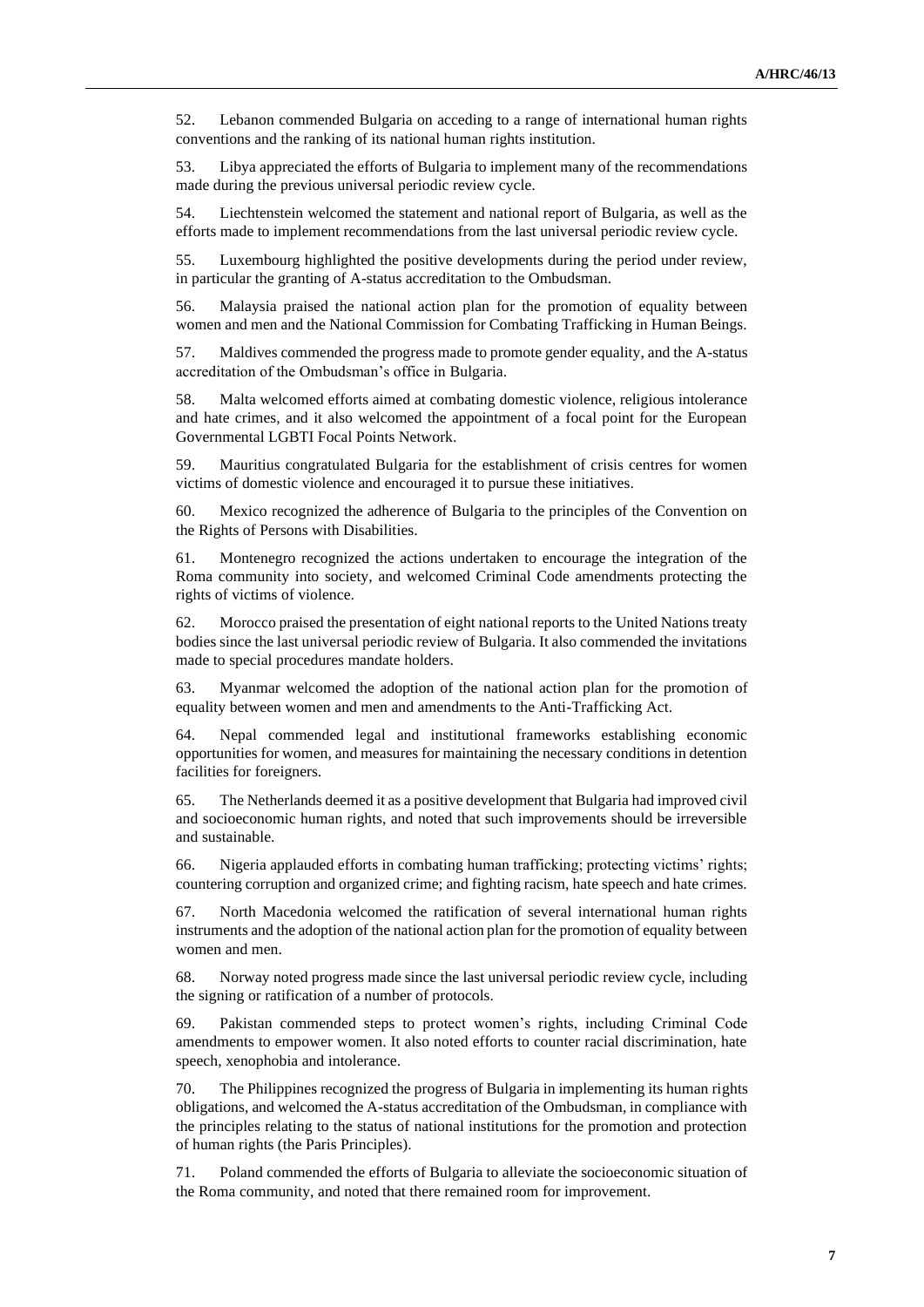52. Lebanon commended Bulgaria on acceding to a range of international human rights conventions and the ranking of its national human rights institution.

53. Libya appreciated the efforts of Bulgaria to implement many of the recommendations made during the previous universal periodic review cycle.

54. Liechtenstein welcomed the statement and national report of Bulgaria, as well as the efforts made to implement recommendations from the last universal periodic review cycle.

55. Luxembourg highlighted the positive developments during the period under review, in particular the granting of A-status accreditation to the Ombudsman.

56. Malaysia praised the national action plan for the promotion of equality between women and men and the National Commission for Combating Trafficking in Human Beings.

57. Maldives commended the progress made to promote gender equality, and the A-status accreditation of the Ombudsman's office in Bulgaria.

58. Malta welcomed efforts aimed at combating domestic violence, religious intolerance and hate crimes, and it also welcomed the appointment of a focal point for the European Governmental LGBTI Focal Points Network.

59. Mauritius congratulated Bulgaria for the establishment of crisis centres for women victims of domestic violence and encouraged it to pursue these initiatives.

60. Mexico recognized the adherence of Bulgaria to the principles of the Convention on the Rights of Persons with Disabilities.

61. Montenegro recognized the actions undertaken to encourage the integration of the Roma community into society, and welcomed Criminal Code amendments protecting the rights of victims of violence.

62. Morocco praised the presentation of eight national reports to the United Nations treaty bodies since the last universal periodic review of Bulgaria. It also commended the invitations made to special procedures mandate holders.

63. Myanmar welcomed the adoption of the national action plan for the promotion of equality between women and men and amendments to the Anti-Trafficking Act.

64. Nepal commended legal and institutional frameworks establishing economic opportunities for women, and measures for maintaining the necessary conditions in detention facilities for foreigners.

65. The Netherlands deemed it as a positive development that Bulgaria had improved civil and socioeconomic human rights, and noted that such improvements should be irreversible and sustainable.

66. Nigeria applauded efforts in combating human trafficking; protecting victims' rights; countering corruption and organized crime; and fighting racism, hate speech and hate crimes.

67. North Macedonia welcomed the ratification of several international human rights instruments and the adoption of the national action plan for the promotion of equality between women and men.

68. Norway noted progress made since the last universal periodic review cycle, including the signing or ratification of a number of protocols.

69. Pakistan commended steps to protect women's rights, including Criminal Code amendments to empower women. It also noted efforts to counter racial discrimination, hate speech, xenophobia and intolerance.

70. The Philippines recognized the progress of Bulgaria in implementing its human rights obligations, and welcomed the A-status accreditation of the Ombudsman, in compliance with the principles relating to the status of national institutions for the promotion and protection of human rights (the Paris Principles).

71. Poland commended the efforts of Bulgaria to alleviate the socioeconomic situation of the Roma community, and noted that there remained room for improvement.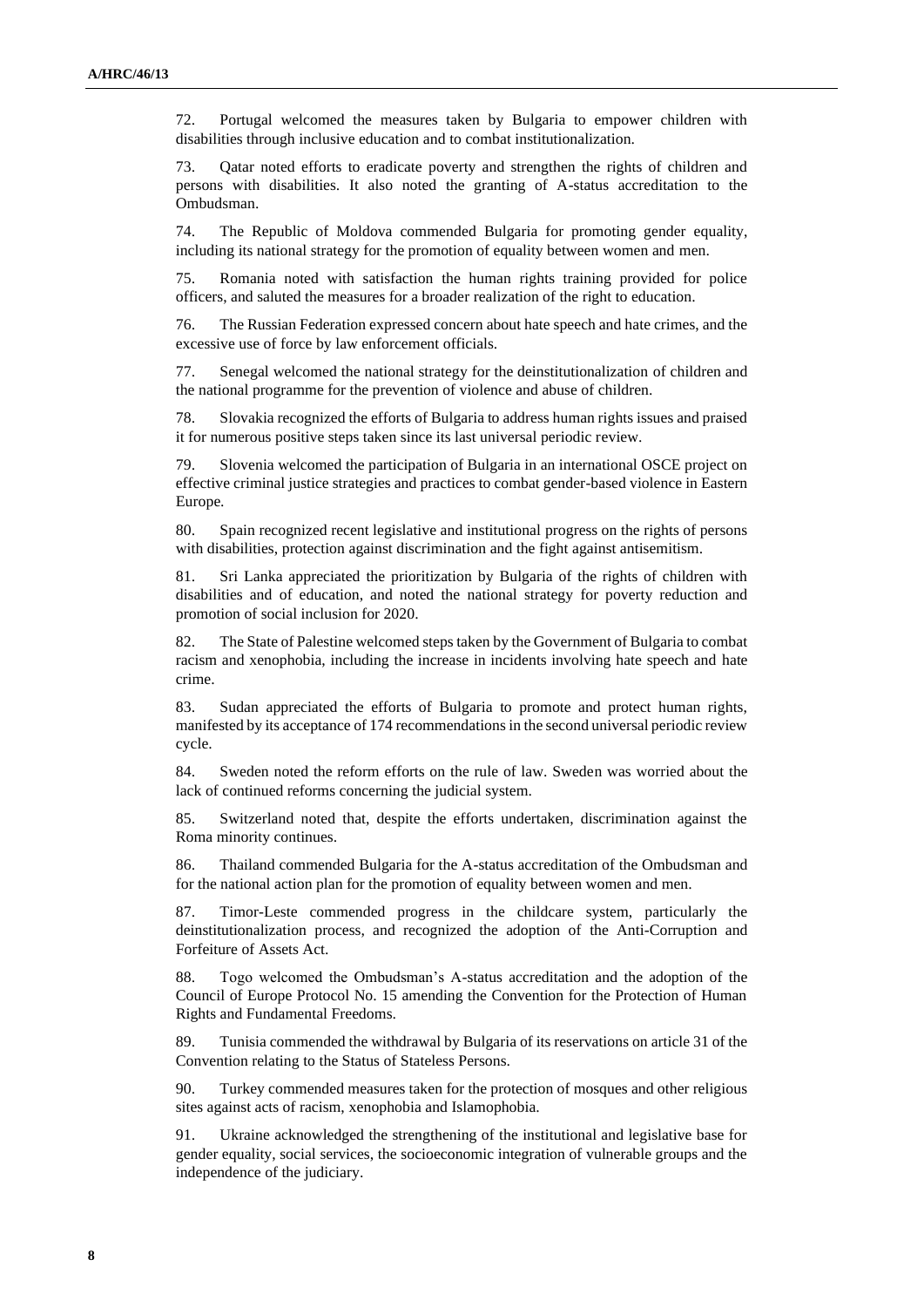72. Portugal welcomed the measures taken by Bulgaria to empower children with disabilities through inclusive education and to combat institutionalization.

73. Qatar noted efforts to eradicate poverty and strengthen the rights of children and persons with disabilities. It also noted the granting of A-status accreditation to the Ombudsman.

74. The Republic of Moldova commended Bulgaria for promoting gender equality, including its national strategy for the promotion of equality between women and men.

75. Romania noted with satisfaction the human rights training provided for police officers, and saluted the measures for a broader realization of the right to education.

76. The Russian Federation expressed concern about hate speech and hate crimes, and the excessive use of force by law enforcement officials.

77. Senegal welcomed the national strategy for the deinstitutionalization of children and the national programme for the prevention of violence and abuse of children.

78. Slovakia recognized the efforts of Bulgaria to address human rights issues and praised it for numerous positive steps taken since its last universal periodic review.

79. Slovenia welcomed the participation of Bulgaria in an international OSCE project on effective criminal justice strategies and practices to combat gender-based violence in Eastern Europe.

80. Spain recognized recent legislative and institutional progress on the rights of persons with disabilities, protection against discrimination and the fight against antisemitism.

81. Sri Lanka appreciated the prioritization by Bulgaria of the rights of children with disabilities and of education, and noted the national strategy for poverty reduction and promotion of social inclusion for 2020.

82. The State of Palestine welcomed steps taken by the Government of Bulgaria to combat racism and xenophobia, including the increase in incidents involving hate speech and hate crime.

83. Sudan appreciated the efforts of Bulgaria to promote and protect human rights, manifested by its acceptance of 174 recommendations in the second universal periodic review cycle.

84. Sweden noted the reform efforts on the rule of law. Sweden was worried about the lack of continued reforms concerning the judicial system.

85. Switzerland noted that, despite the efforts undertaken, discrimination against the Roma minority continues.

86. Thailand commended Bulgaria for the A-status accreditation of the Ombudsman and for the national action plan for the promotion of equality between women and men.

87. Timor-Leste commended progress in the childcare system, particularly the deinstitutionalization process, and recognized the adoption of the Anti-Corruption and Forfeiture of Assets Act.

88. Togo welcomed the Ombudsman's A-status accreditation and the adoption of the Council of Europe Protocol No. 15 amending the Convention for the Protection of Human Rights and Fundamental Freedoms.

89. Tunisia commended the withdrawal by Bulgaria of its reservations on article 31 of the Convention relating to the Status of Stateless Persons.

90. Turkey commended measures taken for the protection of mosques and other religious sites against acts of racism, xenophobia and Islamophobia.

91. Ukraine acknowledged the strengthening of the institutional and legislative base for gender equality, social services, the socioeconomic integration of vulnerable groups and the independence of the judiciary.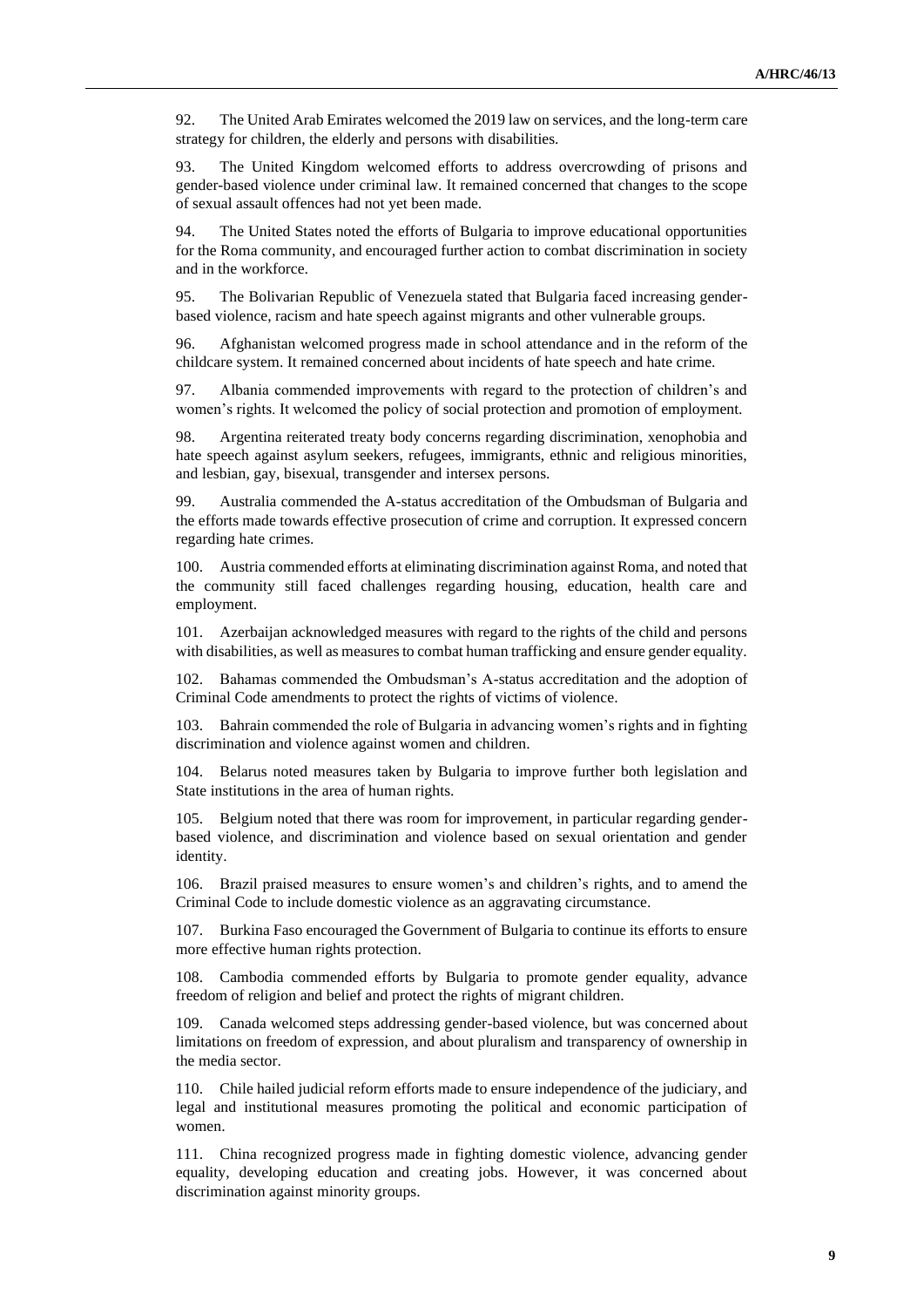92. The United Arab Emirates welcomed the 2019 law on services, and the long-term care strategy for children, the elderly and persons with disabilities.

93. The United Kingdom welcomed efforts to address overcrowding of prisons and gender-based violence under criminal law. It remained concerned that changes to the scope of sexual assault offences had not yet been made.

94. The United States noted the efforts of Bulgaria to improve educational opportunities for the Roma community, and encouraged further action to combat discrimination in society and in the workforce.

95. The Bolivarian Republic of Venezuela stated that Bulgaria faced increasing genderbased violence, racism and hate speech against migrants and other vulnerable groups.

96. Afghanistan welcomed progress made in school attendance and in the reform of the childcare system. It remained concerned about incidents of hate speech and hate crime.

97. Albania commended improvements with regard to the protection of children's and women's rights. It welcomed the policy of social protection and promotion of employment.

98. Argentina reiterated treaty body concerns regarding discrimination, xenophobia and hate speech against asylum seekers, refugees, immigrants, ethnic and religious minorities, and lesbian, gay, bisexual, transgender and intersex persons.

99. Australia commended the A-status accreditation of the Ombudsman of Bulgaria and the efforts made towards effective prosecution of crime and corruption. It expressed concern regarding hate crimes.

100. Austria commended efforts at eliminating discrimination against Roma, and noted that the community still faced challenges regarding housing, education, health care and employment.

101. Azerbaijan acknowledged measures with regard to the rights of the child and persons with disabilities, as well as measures to combat human trafficking and ensure gender equality.

Bahamas commended the Ombudsman's A-status accreditation and the adoption of Criminal Code amendments to protect the rights of victims of violence.

103. Bahrain commended the role of Bulgaria in advancing women's rights and in fighting discrimination and violence against women and children.

104. Belarus noted measures taken by Bulgaria to improve further both legislation and State institutions in the area of human rights.

105. Belgium noted that there was room for improvement, in particular regarding genderbased violence, and discrimination and violence based on sexual orientation and gender identity.

106. Brazil praised measures to ensure women's and children's rights, and to amend the Criminal Code to include domestic violence as an aggravating circumstance.

107. Burkina Faso encouraged the Government of Bulgaria to continue its efforts to ensure more effective human rights protection.

108. Cambodia commended efforts by Bulgaria to promote gender equality, advance freedom of religion and belief and protect the rights of migrant children.

109. Canada welcomed steps addressing gender-based violence, but was concerned about limitations on freedom of expression, and about pluralism and transparency of ownership in the media sector.

110. Chile hailed judicial reform efforts made to ensure independence of the judiciary, and legal and institutional measures promoting the political and economic participation of women.

111. China recognized progress made in fighting domestic violence, advancing gender equality, developing education and creating jobs. However, it was concerned about discrimination against minority groups.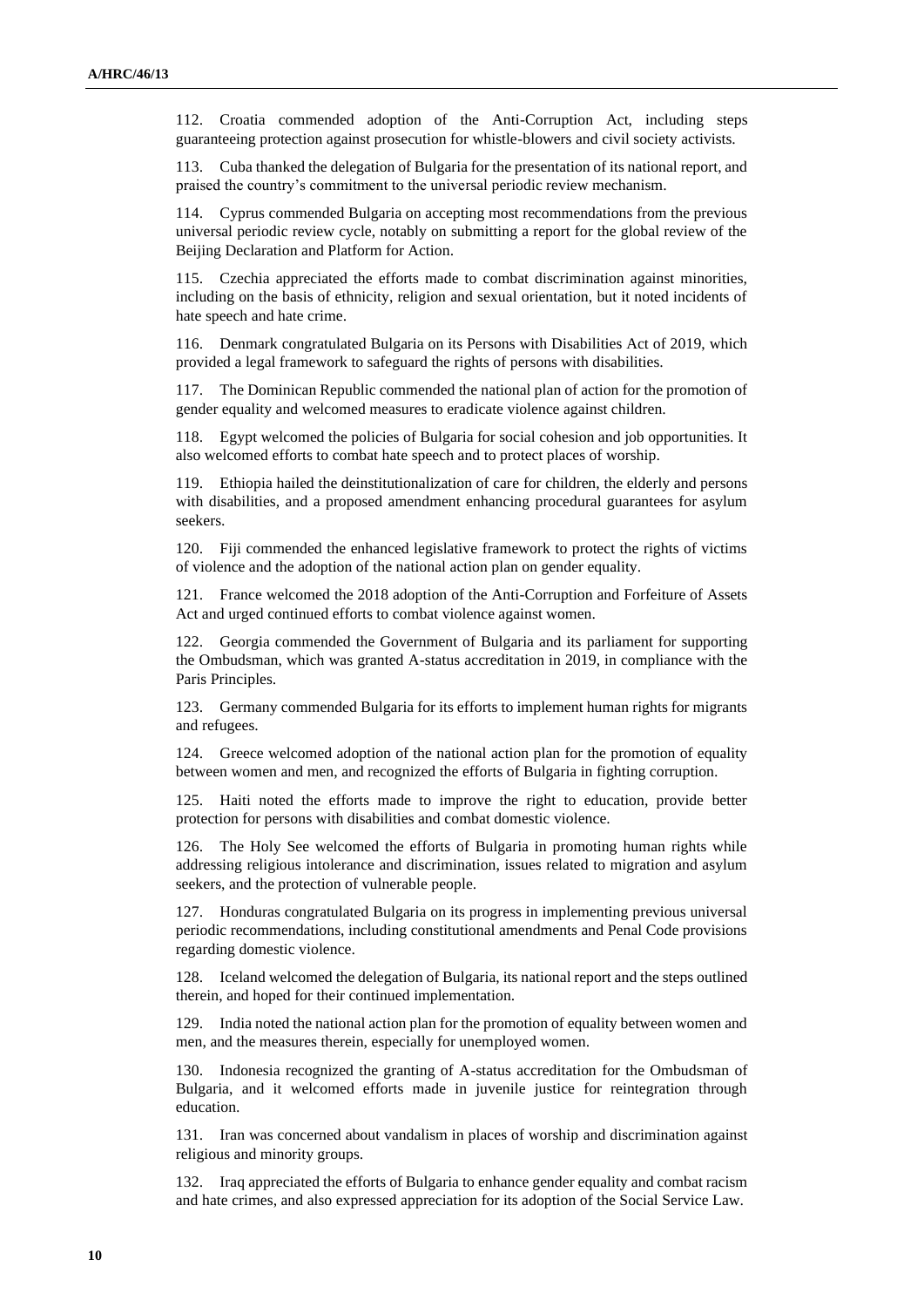112. Croatia commended adoption of the Anti-Corruption Act, including steps guaranteeing protection against prosecution for whistle-blowers and civil society activists.

113. Cuba thanked the delegation of Bulgaria for the presentation of its national report, and praised the country's commitment to the universal periodic review mechanism.

114. Cyprus commended Bulgaria on accepting most recommendations from the previous universal periodic review cycle, notably on submitting a report for the global review of the Beijing Declaration and Platform for Action.

115. Czechia appreciated the efforts made to combat discrimination against minorities, including on the basis of ethnicity, religion and sexual orientation, but it noted incidents of hate speech and hate crime.

116. Denmark congratulated Bulgaria on its Persons with Disabilities Act of 2019, which provided a legal framework to safeguard the rights of persons with disabilities.

117. The Dominican Republic commended the national plan of action for the promotion of gender equality and welcomed measures to eradicate violence against children.

118. Egypt welcomed the policies of Bulgaria for social cohesion and job opportunities. It also welcomed efforts to combat hate speech and to protect places of worship.

119. Ethiopia hailed the deinstitutionalization of care for children, the elderly and persons with disabilities, and a proposed amendment enhancing procedural guarantees for asylum seekers.

120. Fiji commended the enhanced legislative framework to protect the rights of victims of violence and the adoption of the national action plan on gender equality.

121. France welcomed the 2018 adoption of the Anti-Corruption and Forfeiture of Assets Act and urged continued efforts to combat violence against women.

122. Georgia commended the Government of Bulgaria and its parliament for supporting the Ombudsman, which was granted A-status accreditation in 2019, in compliance with the Paris Principles.

123. Germany commended Bulgaria for its efforts to implement human rights for migrants and refugees.

124. Greece welcomed adoption of the national action plan for the promotion of equality between women and men, and recognized the efforts of Bulgaria in fighting corruption.

125. Haiti noted the efforts made to improve the right to education, provide better protection for persons with disabilities and combat domestic violence.

126. The Holy See welcomed the efforts of Bulgaria in promoting human rights while addressing religious intolerance and discrimination, issues related to migration and asylum seekers, and the protection of vulnerable people.

127. Honduras congratulated Bulgaria on its progress in implementing previous universal periodic recommendations, including constitutional amendments and Penal Code provisions regarding domestic violence.

128. Iceland welcomed the delegation of Bulgaria, its national report and the steps outlined therein, and hoped for their continued implementation.

129. India noted the national action plan for the promotion of equality between women and men, and the measures therein, especially for unemployed women.

130. Indonesia recognized the granting of A-status accreditation for the Ombudsman of Bulgaria, and it welcomed efforts made in juvenile justice for reintegration through education.

131. Iran was concerned about vandalism in places of worship and discrimination against religious and minority groups.

132. Iraq appreciated the efforts of Bulgaria to enhance gender equality and combat racism and hate crimes, and also expressed appreciation for its adoption of the Social Service Law.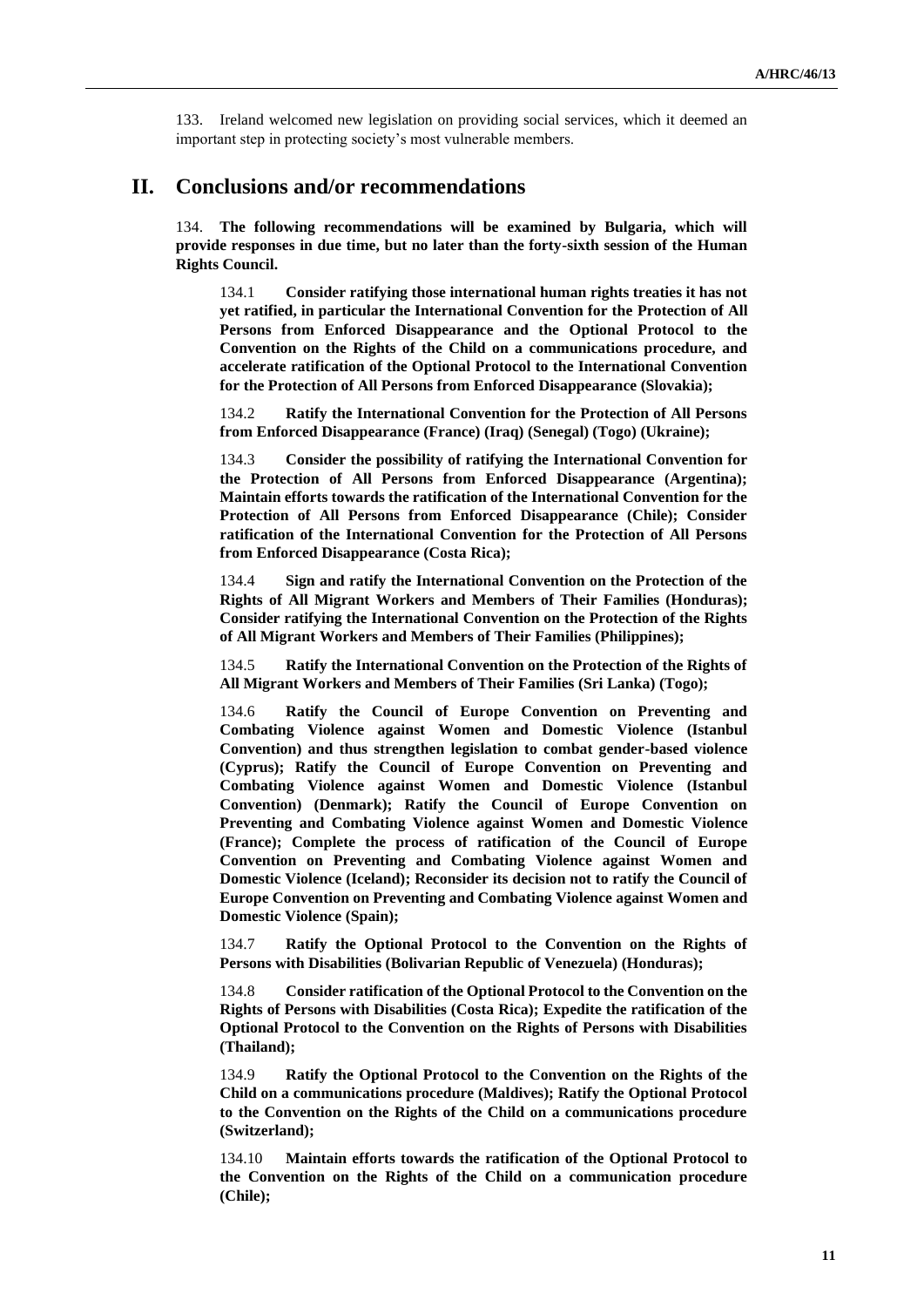133. Ireland welcomed new legislation on providing social services, which it deemed an important step in protecting society's most vulnerable members.

# **II. Conclusions and/or recommendations**

134. **The following recommendations will be examined by Bulgaria, which will provide responses in due time, but no later than the forty-sixth session of the Human Rights Council.**

134.1 **Consider ratifying those international human rights treaties it has not yet ratified, in particular the International Convention for the Protection of All Persons from Enforced Disappearance and the Optional Protocol to the Convention on the Rights of the Child on a communications procedure, and accelerate ratification of the Optional Protocol to the International Convention for the Protection of All Persons from Enforced Disappearance (Slovakia);**

134.2 **Ratify the International Convention for the Protection of All Persons from Enforced Disappearance (France) (Iraq) (Senegal) (Togo) (Ukraine);**

134.3 **Consider the possibility of ratifying the International Convention for the Protection of All Persons from Enforced Disappearance (Argentina); Maintain efforts towards the ratification of the International Convention for the Protection of All Persons from Enforced Disappearance (Chile); Consider ratification of the International Convention for the Protection of All Persons from Enforced Disappearance (Costa Rica);**

134.4 **Sign and ratify the International Convention on the Protection of the Rights of All Migrant Workers and Members of Their Families (Honduras); Consider ratifying the International Convention on the Protection of the Rights of All Migrant Workers and Members of Their Families (Philippines);**

134.5 **Ratify the International Convention on the Protection of the Rights of All Migrant Workers and Members of Their Families (Sri Lanka) (Togo);**

134.6 **Ratify the Council of Europe Convention on Preventing and Combating Violence against Women and Domestic Violence (Istanbul Convention) and thus strengthen legislation to combat gender-based violence (Cyprus); Ratify the Council of Europe Convention on Preventing and Combating Violence against Women and Domestic Violence (Istanbul Convention) (Denmark); Ratify the Council of Europe Convention on Preventing and Combating Violence against Women and Domestic Violence (France); Complete the process of ratification of the Council of Europe Convention on Preventing and Combating Violence against Women and Domestic Violence (Iceland); Reconsider its decision not to ratify the Council of Europe Convention on Preventing and Combating Violence against Women and Domestic Violence (Spain);**

134.7 **Ratify the Optional Protocol to the Convention on the Rights of Persons with Disabilities (Bolivarian Republic of Venezuela) (Honduras);**

134.8 **Consider ratification of the Optional Protocol to the Convention on the Rights of Persons with Disabilities (Costa Rica); Expedite the ratification of the Optional Protocol to the Convention on the Rights of Persons with Disabilities (Thailand);**

134.9 **Ratify the Optional Protocol to the Convention on the Rights of the Child on a communications procedure (Maldives); Ratify the Optional Protocol to the Convention on the Rights of the Child on a communications procedure (Switzerland);**

134.10 **Maintain efforts towards the ratification of the Optional Protocol to the Convention on the Rights of the Child on a communication procedure (Chile);**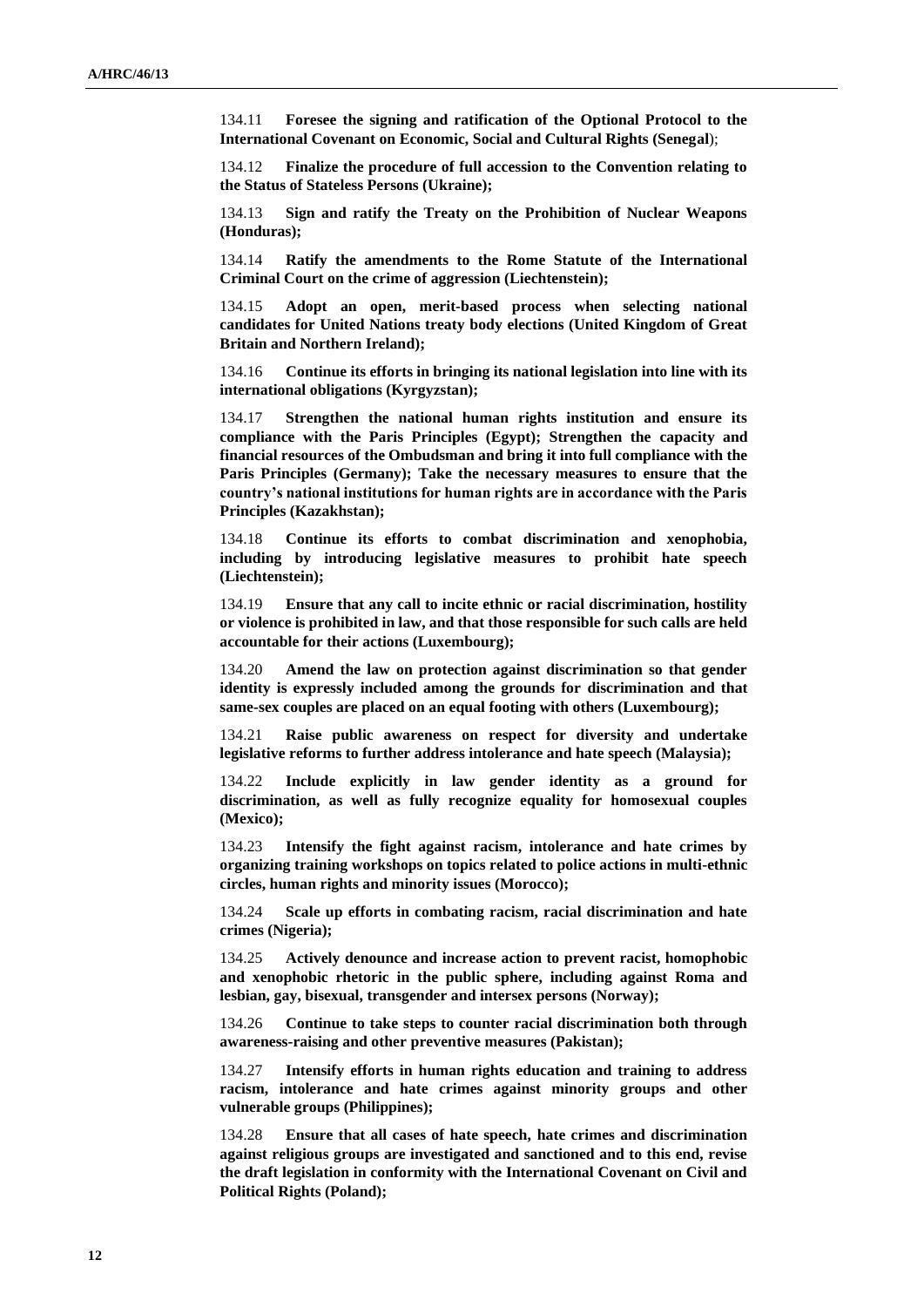134.11 **Foresee the signing and ratification of the Optional Protocol to the International Covenant on Economic, Social and Cultural Rights (Senegal**);

134.12 **Finalize the procedure of full accession to the Convention relating to the Status of Stateless Persons (Ukraine);**

134.13 **Sign and ratify the Treaty on the Prohibition of Nuclear Weapons (Honduras);**

134.14 **Ratify the amendments to the Rome Statute of the International Criminal Court on the crime of aggression (Liechtenstein);**

134.15 **Adopt an open, merit-based process when selecting national candidates for United Nations treaty body elections (United Kingdom of Great Britain and Northern Ireland);**

134.16 **Continue its efforts in bringing its national legislation into line with its international obligations (Kyrgyzstan);**

134.17 **Strengthen the national human rights institution and ensure its compliance with the Paris Principles (Egypt); Strengthen the capacity and financial resources of the Ombudsman and bring it into full compliance with the Paris Principles (Germany); Take the necessary measures to ensure that the country's national institutions for human rights are in accordance with the Paris Principles (Kazakhstan);**

134.18 **Continue its efforts to combat discrimination and xenophobia, including by introducing legislative measures to prohibit hate speech (Liechtenstein);**

134.19 **Ensure that any call to incite ethnic or racial discrimination, hostility or violence is prohibited in law, and that those responsible for such calls are held accountable for their actions (Luxembourg);**

134.20 **Amend the law on protection against discrimination so that gender identity is expressly included among the grounds for discrimination and that same-sex couples are placed on an equal footing with others (Luxembourg);**

134.21 **Raise public awareness on respect for diversity and undertake legislative reforms to further address intolerance and hate speech (Malaysia);**

134.22 **Include explicitly in law gender identity as a ground for discrimination, as well as fully recognize equality for homosexual couples (Mexico);**

134.23 **Intensify the fight against racism, intolerance and hate crimes by organizing training workshops on topics related to police actions in multi-ethnic circles, human rights and minority issues (Morocco);**

134.24 **Scale up efforts in combating racism, racial discrimination and hate crimes (Nigeria);**

134.25 **Actively denounce and increase action to prevent racist, homophobic and xenophobic rhetoric in the public sphere, including against Roma and lesbian, gay, bisexual, transgender and intersex persons (Norway);**

134.26 **Continue to take steps to counter racial discrimination both through awareness-raising and other preventive measures (Pakistan);**

134.27 **Intensify efforts in human rights education and training to address racism, intolerance and hate crimes against minority groups and other vulnerable groups (Philippines);**

134.28 **Ensure that all cases of hate speech, hate crimes and discrimination against religious groups are investigated and sanctioned and to this end, revise the draft legislation in conformity with the International Covenant on Civil and Political Rights (Poland);**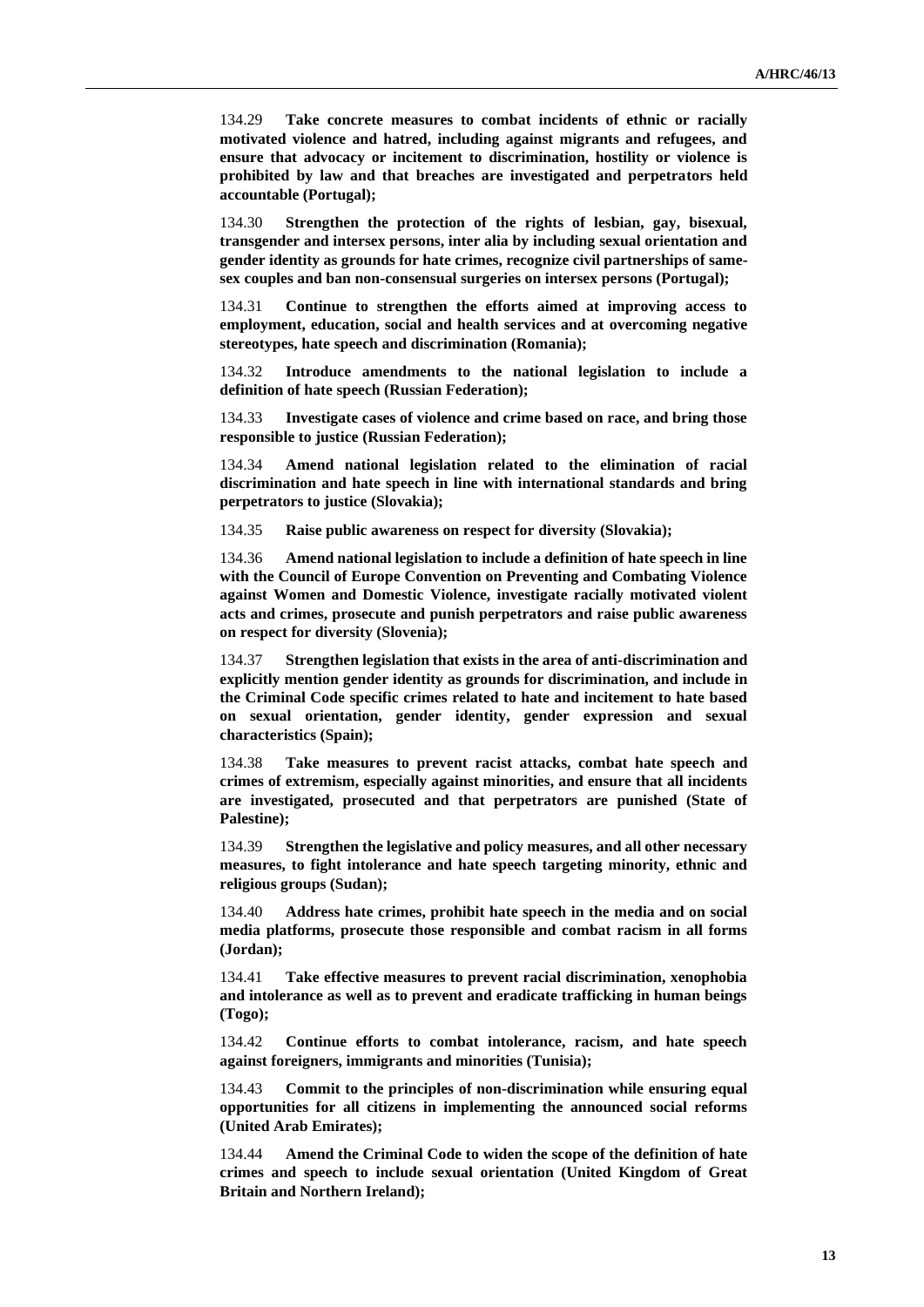134.29 **Take concrete measures to combat incidents of ethnic or racially motivated violence and hatred, including against migrants and refugees, and ensure that advocacy or incitement to discrimination, hostility or violence is prohibited by law and that breaches are investigated and perpetrators held accountable (Portugal);**

134.30 **Strengthen the protection of the rights of lesbian, gay, bisexual, transgender and intersex persons, inter alia by including sexual orientation and gender identity as grounds for hate crimes, recognize civil partnerships of samesex couples and ban non-consensual surgeries on intersex persons (Portugal);**

134.31 **Continue to strengthen the efforts aimed at improving access to employment, education, social and health services and at overcoming negative stereotypes, hate speech and discrimination (Romania);**

134.32 **Introduce amendments to the national legislation to include a definition of hate speech (Russian Federation);**

134.33 **Investigate cases of violence and crime based on race, and bring those responsible to justice (Russian Federation);**

134.34 **Amend national legislation related to the elimination of racial discrimination and hate speech in line with international standards and bring perpetrators to justice (Slovakia);**

134.35 **Raise public awareness on respect for diversity (Slovakia);**

134.36 **Amend national legislation to include a definition of hate speech in line with the Council of Europe Convention on Preventing and Combating Violence against Women and Domestic Violence, investigate racially motivated violent acts and crimes, prosecute and punish perpetrators and raise public awareness on respect for diversity (Slovenia);**

134.37 **Strengthen legislation that exists in the area of anti-discrimination and explicitly mention gender identity as grounds for discrimination, and include in the Criminal Code specific crimes related to hate and incitement to hate based on sexual orientation, gender identity, gender expression and sexual characteristics (Spain);**

134.38 **Take measures to prevent racist attacks, combat hate speech and crimes of extremism, especially against minorities, and ensure that all incidents are investigated, prosecuted and that perpetrators are punished (State of Palestine);**

134.39 **Strengthen the legislative and policy measures, and all other necessary measures, to fight intolerance and hate speech targeting minority, ethnic and religious groups (Sudan);**

134.40 **Address hate crimes, prohibit hate speech in the media and on social media platforms, prosecute those responsible and combat racism in all forms (Jordan);**

134.41 **Take effective measures to prevent racial discrimination, xenophobia and intolerance as well as to prevent and eradicate trafficking in human beings (Togo);**

134.42 **Continue efforts to combat intolerance, racism, and hate speech against foreigners, immigrants and minorities (Tunisia);**

134.43 **Commit to the principles of non-discrimination while ensuring equal opportunities for all citizens in implementing the announced social reforms (United Arab Emirates);**

134.44 **Amend the Criminal Code to widen the scope of the definition of hate crimes and speech to include sexual orientation (United Kingdom of Great Britain and Northern Ireland);**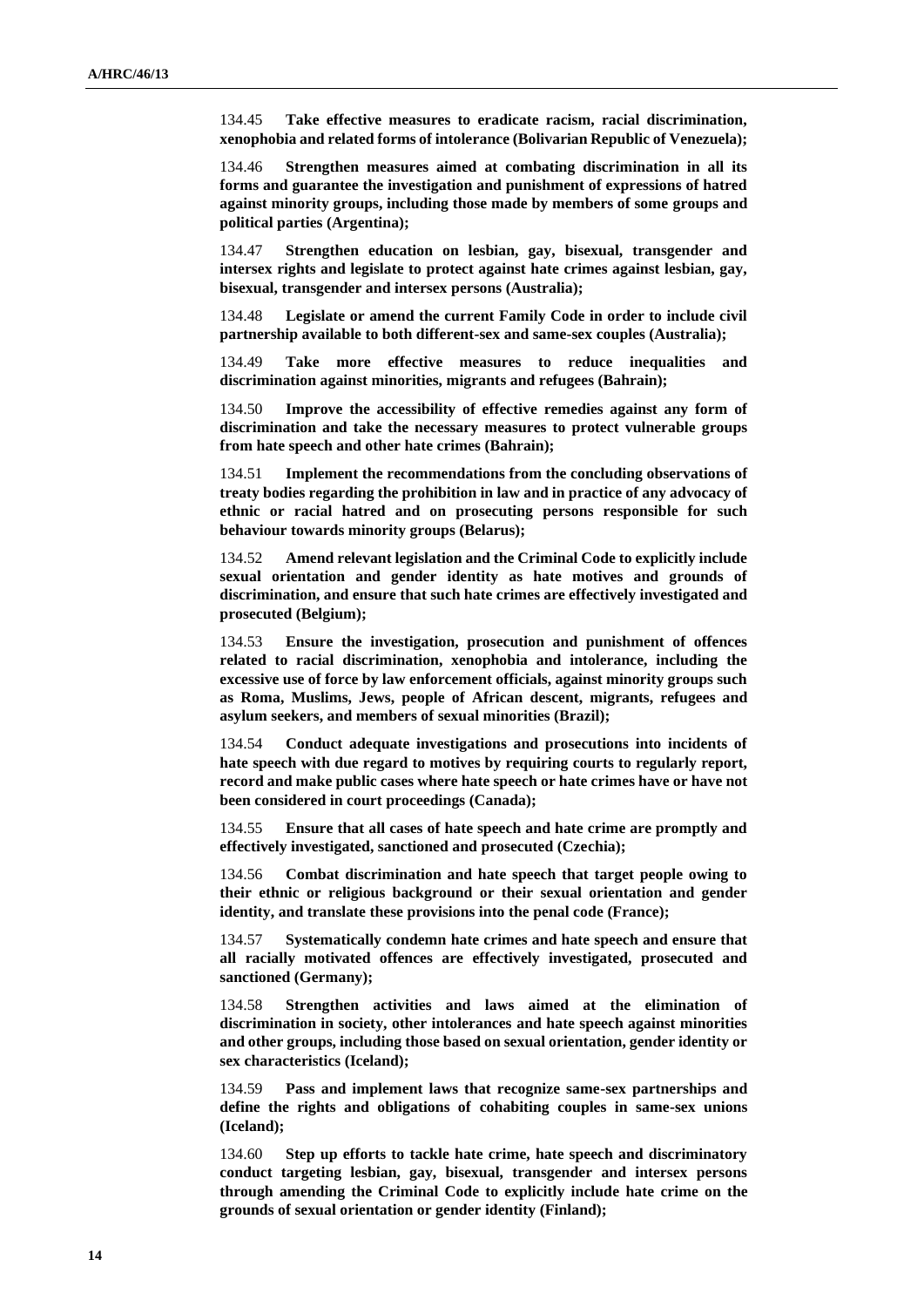134.45 **Take effective measures to eradicate racism, racial discrimination, xenophobia and related forms of intolerance (Bolivarian Republic of Venezuela);**

134.46 **Strengthen measures aimed at combating discrimination in all its forms and guarantee the investigation and punishment of expressions of hatred against minority groups, including those made by members of some groups and political parties (Argentina);**

134.47 **Strengthen education on lesbian, gay, bisexual, transgender and intersex rights and legislate to protect against hate crimes against lesbian, gay, bisexual, transgender and intersex persons (Australia);**

134.48 **Legislate or amend the current Family Code in order to include civil partnership available to both different-sex and same-sex couples (Australia);**

134.49 **Take more effective measures to reduce inequalities and discrimination against minorities, migrants and refugees (Bahrain);**

134.50 **Improve the accessibility of effective remedies against any form of discrimination and take the necessary measures to protect vulnerable groups from hate speech and other hate crimes (Bahrain);**

134.51 **Implement the recommendations from the concluding observations of treaty bodies regarding the prohibition in law and in practice of any advocacy of ethnic or racial hatred and on prosecuting persons responsible for such behaviour towards minority groups (Belarus);**

134.52 **Amend relevant legislation and the Criminal Code to explicitly include sexual orientation and gender identity as hate motives and grounds of discrimination, and ensure that such hate crimes are effectively investigated and prosecuted (Belgium);**

134.53 **Ensure the investigation, prosecution and punishment of offences related to racial discrimination, xenophobia and intolerance, including the excessive use of force by law enforcement officials, against minority groups such as Roma, Muslims, Jews, people of African descent, migrants, refugees and asylum seekers, and members of sexual minorities (Brazil);**

134.54 **Conduct adequate investigations and prosecutions into incidents of hate speech with due regard to motives by requiring courts to regularly report, record and make public cases where hate speech or hate crimes have or have not been considered in court proceedings (Canada);**

134.55 **Ensure that all cases of hate speech and hate crime are promptly and effectively investigated, sanctioned and prosecuted (Czechia);**

134.56 **Combat discrimination and hate speech that target people owing to their ethnic or religious background or their sexual orientation and gender identity, and translate these provisions into the penal code (France);**

134.57 **Systematically condemn hate crimes and hate speech and ensure that all racially motivated offences are effectively investigated, prosecuted and sanctioned (Germany);**

134.58 **Strengthen activities and laws aimed at the elimination of discrimination in society, other intolerances and hate speech against minorities and other groups, including those based on sexual orientation, gender identity or sex characteristics (Iceland);**

134.59 **Pass and implement laws that recognize same-sex partnerships and define the rights and obligations of cohabiting couples in same-sex unions (Iceland);**

134.60 **Step up efforts to tackle hate crime, hate speech and discriminatory conduct targeting lesbian, gay, bisexual, transgender and intersex persons through amending the Criminal Code to explicitly include hate crime on the grounds of sexual orientation or gender identity (Finland);**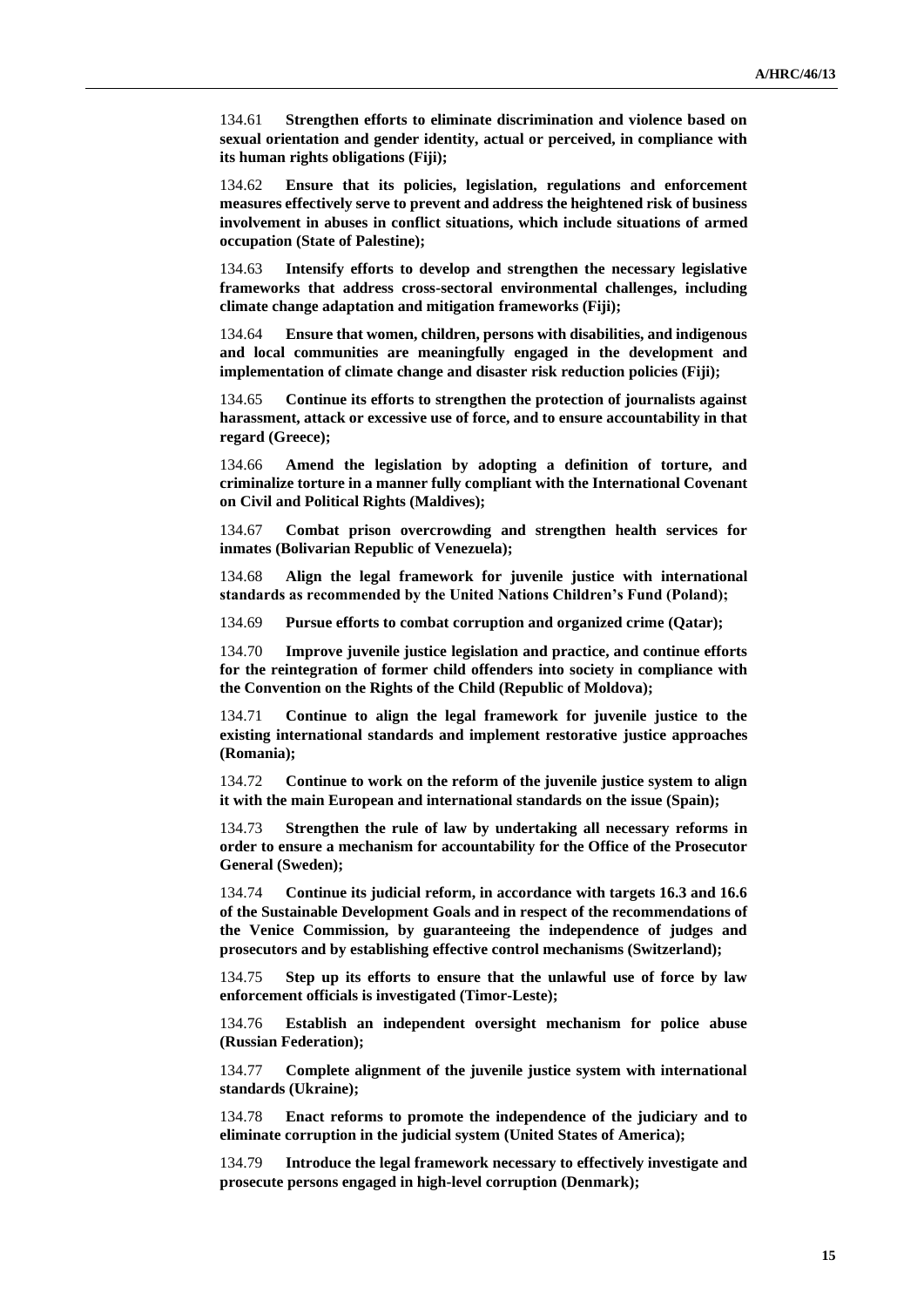134.61 **Strengthen efforts to eliminate discrimination and violence based on sexual orientation and gender identity, actual or perceived, in compliance with its human rights obligations (Fiji);**

134.62 **Ensure that its policies, legislation, regulations and enforcement measures effectively serve to prevent and address the heightened risk of business involvement in abuses in conflict situations, which include situations of armed occupation (State of Palestine);**

134.63 **Intensify efforts to develop and strengthen the necessary legislative frameworks that address cross-sectoral environmental challenges, including climate change adaptation and mitigation frameworks (Fiji);**

134.64 **Ensure that women, children, persons with disabilities, and indigenous and local communities are meaningfully engaged in the development and implementation of climate change and disaster risk reduction policies (Fiji);**

134.65 **Continue its efforts to strengthen the protection of journalists against harassment, attack or excessive use of force, and to ensure accountability in that regard (Greece);**

134.66 **Amend the legislation by adopting a definition of torture, and criminalize torture in a manner fully compliant with the International Covenant on Civil and Political Rights (Maldives);**

134.67 **Combat prison overcrowding and strengthen health services for inmates (Bolivarian Republic of Venezuela);**

134.68 **Align the legal framework for juvenile justice with international standards as recommended by the United Nations Children's Fund (Poland);**

134.69 **Pursue efforts to combat corruption and organized crime (Qatar);**

134.70 **Improve juvenile justice legislation and practice, and continue efforts for the reintegration of former child offenders into society in compliance with the Convention on the Rights of the Child (Republic of Moldova);**

134.71 **Continue to align the legal framework for juvenile justice to the existing international standards and implement restorative justice approaches (Romania);**

134.72 **Continue to work on the reform of the juvenile justice system to align it with the main European and international standards on the issue (Spain);**

134.73 **Strengthen the rule of law by undertaking all necessary reforms in order to ensure a mechanism for accountability for the Office of the Prosecutor General (Sweden);**

134.74 **Continue its judicial reform, in accordance with targets 16.3 and 16.6 of the Sustainable Development Goals and in respect of the recommendations of the Venice Commission, by guaranteeing the independence of judges and prosecutors and by establishing effective control mechanisms (Switzerland);**

134.75 **Step up its efforts to ensure that the unlawful use of force by law enforcement officials is investigated (Timor-Leste);**

134.76 **Establish an independent oversight mechanism for police abuse (Russian Federation);**

134.77 **Complete alignment of the juvenile justice system with international standards (Ukraine);**

134.78 **Enact reforms to promote the independence of the judiciary and to eliminate corruption in the judicial system (United States of America);**

134.79 **Introduce the legal framework necessary to effectively investigate and prosecute persons engaged in high-level corruption (Denmark);**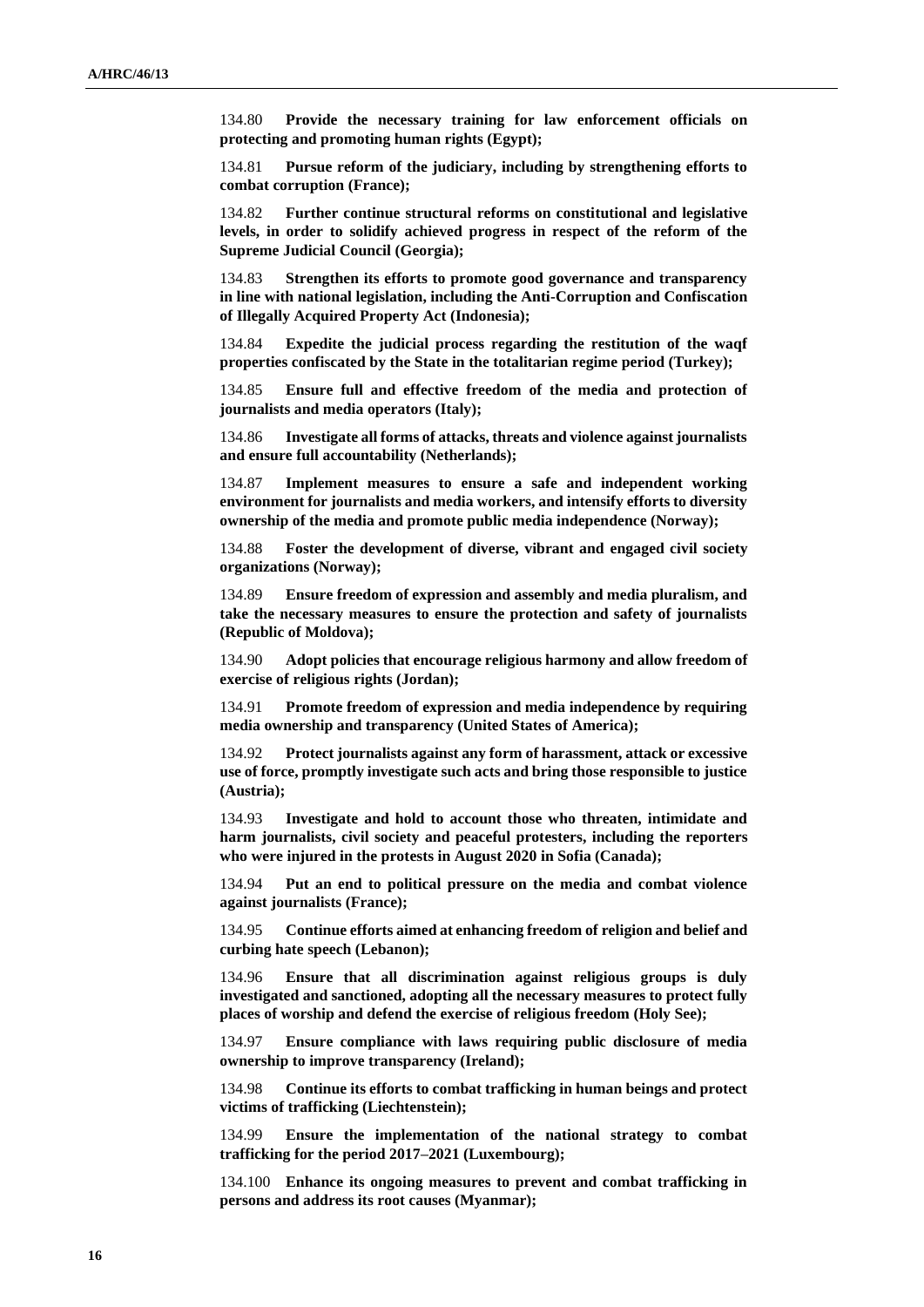134.80 **Provide the necessary training for law enforcement officials on protecting and promoting human rights (Egypt);**

134.81 **Pursue reform of the judiciary, including by strengthening efforts to combat corruption (France);**

134.82 **Further continue structural reforms on constitutional and legislative levels, in order to solidify achieved progress in respect of the reform of the Supreme Judicial Council (Georgia);**

134.83 **Strengthen its efforts to promote good governance and transparency in line with national legislation, including the Anti-Corruption and Confiscation of Illegally Acquired Property Act (Indonesia);**

134.84 **Expedite the judicial process regarding the restitution of the waqf properties confiscated by the State in the totalitarian regime period (Turkey);**

134.85 **Ensure full and effective freedom of the media and protection of journalists and media operators (Italy);**

134.86 **Investigate all forms of attacks, threats and violence against journalists and ensure full accountability (Netherlands);**

134.87 **Implement measures to ensure a safe and independent working environment for journalists and media workers, and intensify efforts to diversity ownership of the media and promote public media independence (Norway);**

134.88 **Foster the development of diverse, vibrant and engaged civil society organizations (Norway);**

134.89 **Ensure freedom of expression and assembly and media pluralism, and take the necessary measures to ensure the protection and safety of journalists (Republic of Moldova);**

134.90 **Adopt policies that encourage religious harmony and allow freedom of exercise of religious rights (Jordan);**

134.91 **Promote freedom of expression and media independence by requiring media ownership and transparency (United States of America);**

134.92 **Protect journalists against any form of harassment, attack or excessive use of force, promptly investigate such acts and bring those responsible to justice (Austria);**

134.93 **Investigate and hold to account those who threaten, intimidate and harm journalists, civil society and peaceful protesters, including the reporters who were injured in the protests in August 2020 in Sofia (Canada);**

134.94 **Put an end to political pressure on the media and combat violence against journalists (France);**

134.95 **Continue efforts aimed at enhancing freedom of religion and belief and curbing hate speech (Lebanon);**

134.96 **Ensure that all discrimination against religious groups is duly investigated and sanctioned, adopting all the necessary measures to protect fully places of worship and defend the exercise of religious freedom (Holy See);**

134.97 **Ensure compliance with laws requiring public disclosure of media ownership to improve transparency (Ireland);**

134.98 **Continue its efforts to combat trafficking in human beings and protect victims of trafficking (Liechtenstein);**

134.99 **Ensure the implementation of the national strategy to combat trafficking for the period 2017–2021 (Luxembourg);**

134.100 **Enhance its ongoing measures to prevent and combat trafficking in persons and address its root causes (Myanmar);**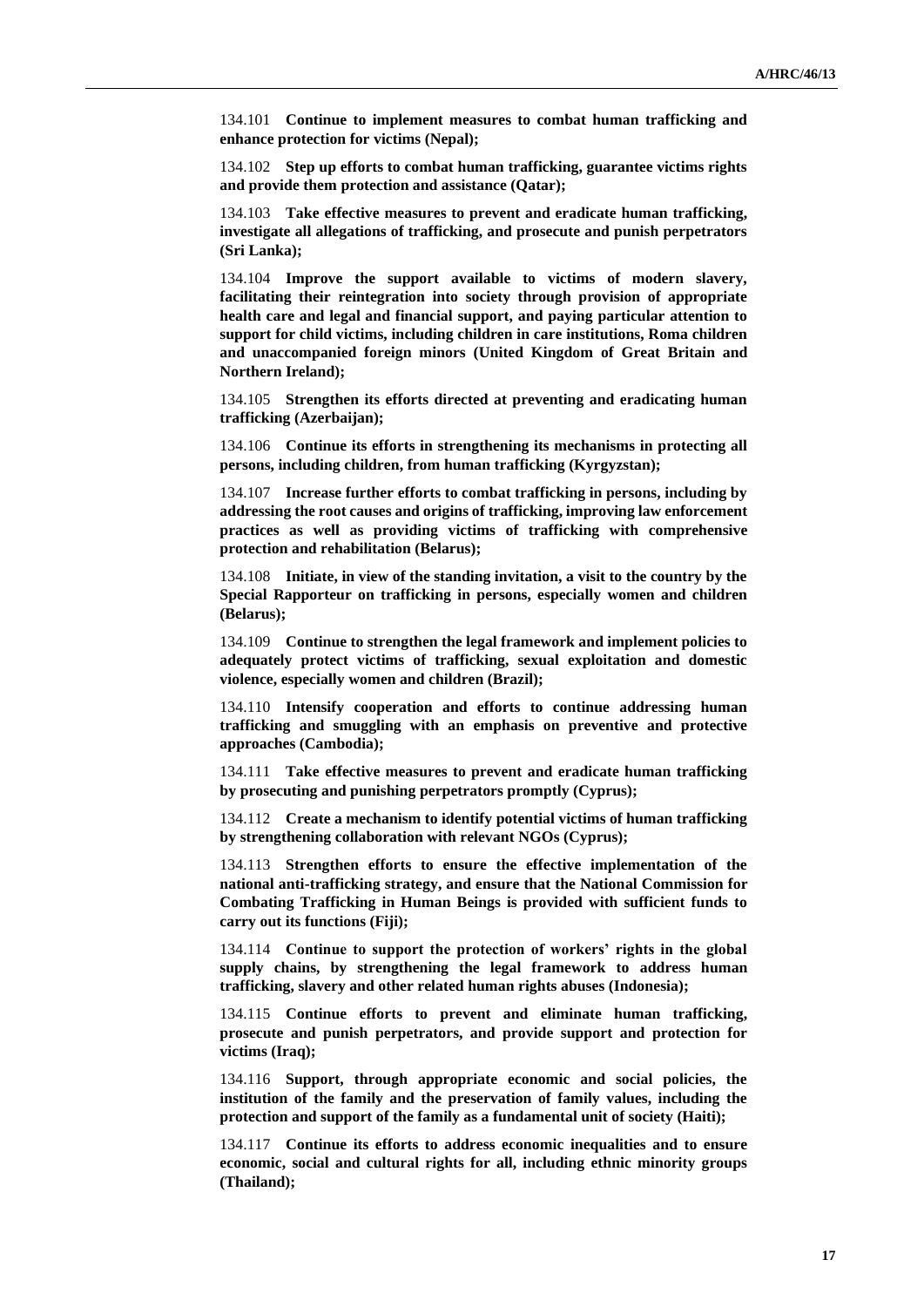134.101 **Continue to implement measures to combat human trafficking and enhance protection for victims (Nepal);**

134.102 **Step up efforts to combat human trafficking, guarantee victims rights and provide them protection and assistance (Qatar);**

134.103 **Take effective measures to prevent and eradicate human trafficking, investigate all allegations of trafficking, and prosecute and punish perpetrators (Sri Lanka);**

134.104 **Improve the support available to victims of modern slavery, facilitating their reintegration into society through provision of appropriate health care and legal and financial support, and paying particular attention to support for child victims, including children in care institutions, Roma children and unaccompanied foreign minors (United Kingdom of Great Britain and Northern Ireland);**

134.105 **Strengthen its efforts directed at preventing and eradicating human trafficking (Azerbaijan);**

134.106 **Continue its efforts in strengthening its mechanisms in protecting all persons, including children, from human trafficking (Kyrgyzstan);**

134.107 **Increase further efforts to combat trafficking in persons, including by addressing the root causes and origins of trafficking, improving law enforcement practices as well as providing victims of trafficking with comprehensive protection and rehabilitation (Belarus);**

134.108 **Initiate, in view of the standing invitation, a visit to the country by the Special Rapporteur on trafficking in persons, especially women and children (Belarus);**

134.109 **Continue to strengthen the legal framework and implement policies to adequately protect victims of trafficking, sexual exploitation and domestic violence, especially women and children (Brazil);**

134.110 **Intensify cooperation and efforts to continue addressing human trafficking and smuggling with an emphasis on preventive and protective approaches (Cambodia);**

134.111 **Take effective measures to prevent and eradicate human trafficking by prosecuting and punishing perpetrators promptly (Cyprus);**

134.112 **Create a mechanism to identify potential victims of human trafficking by strengthening collaboration with relevant NGOs (Cyprus);**

134.113 **Strengthen efforts to ensure the effective implementation of the national anti-trafficking strategy, and ensure that the National Commission for Combating Trafficking in Human Beings is provided with sufficient funds to carry out its functions (Fiji);**

134.114 **Continue to support the protection of workers' rights in the global supply chains, by strengthening the legal framework to address human trafficking, slavery and other related human rights abuses (Indonesia);**

134.115 **Continue efforts to prevent and eliminate human trafficking, prosecute and punish perpetrators, and provide support and protection for victims (Iraq);**

134.116 **Support, through appropriate economic and social policies, the institution of the family and the preservation of family values, including the protection and support of the family as a fundamental unit of society (Haiti);**

134.117 **Continue its efforts to address economic inequalities and to ensure economic, social and cultural rights for all, including ethnic minority groups (Thailand);**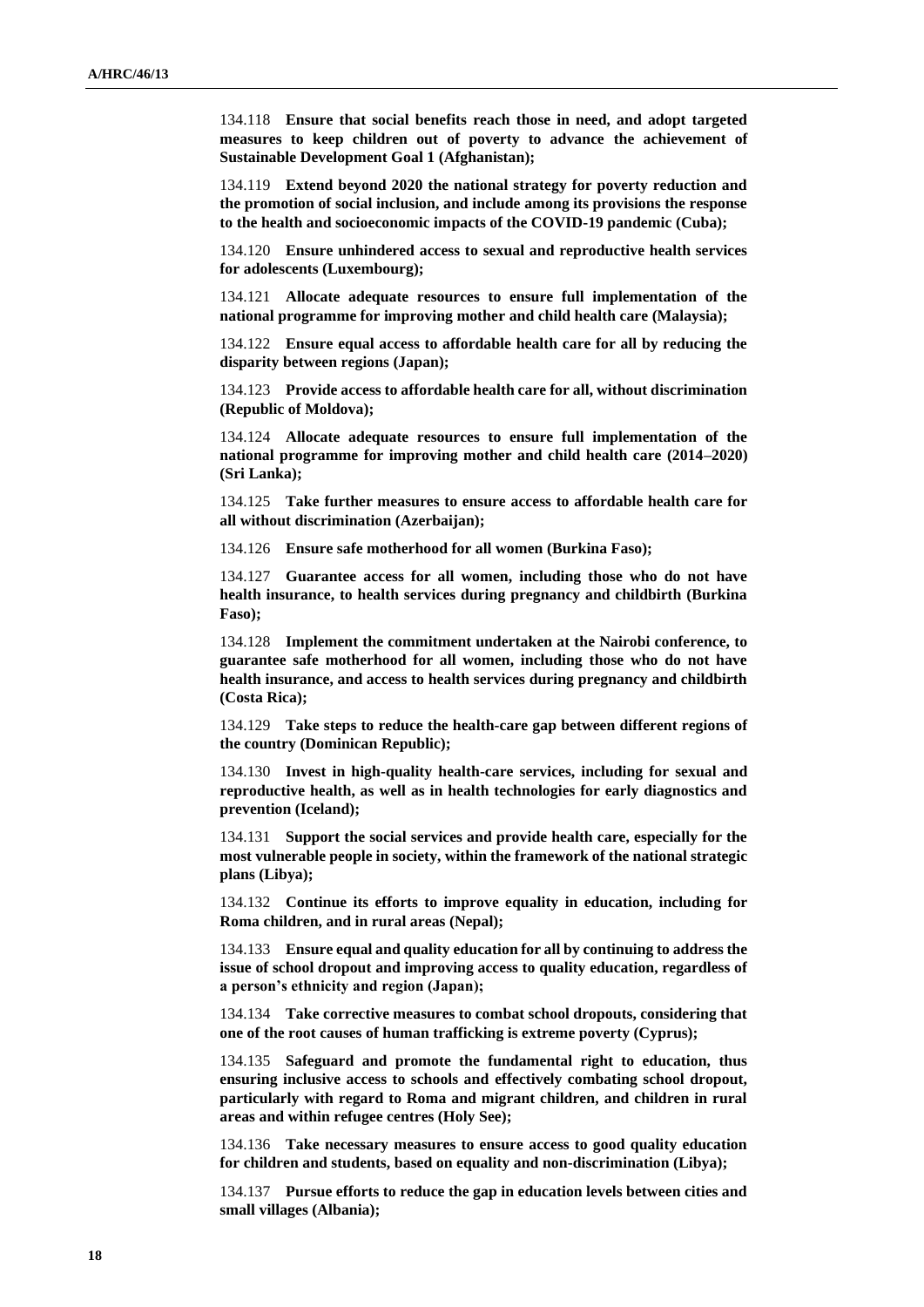134.118 **Ensure that social benefits reach those in need, and adopt targeted measures to keep children out of poverty to advance the achievement of Sustainable Development Goal 1 (Afghanistan);**

134.119 **Extend beyond 2020 the national strategy for poverty reduction and the promotion of social inclusion, and include among its provisions the response to the health and socioeconomic impacts of the COVID-19 pandemic (Cuba);**

134.120 **Ensure unhindered access to sexual and reproductive health services for adolescents (Luxembourg);**

134.121 **Allocate adequate resources to ensure full implementation of the national programme for improving mother and child health care (Malaysia);**

134.122 **Ensure equal access to affordable health care for all by reducing the disparity between regions (Japan);**

134.123 **Provide access to affordable health care for all, without discrimination (Republic of Moldova);**

134.124 **Allocate adequate resources to ensure full implementation of the national programme for improving mother and child health care (2014–2020) (Sri Lanka);**

134.125 **Take further measures to ensure access to affordable health care for all without discrimination (Azerbaijan);**

134.126 **Ensure safe motherhood for all women (Burkina Faso);**

134.127 **Guarantee access for all women, including those who do not have health insurance, to health services during pregnancy and childbirth (Burkina Faso);**

134.128 **Implement the commitment undertaken at the Nairobi conference, to guarantee safe motherhood for all women, including those who do not have health insurance, and access to health services during pregnancy and childbirth (Costa Rica);**

134.129 **Take steps to reduce the health-care gap between different regions of the country (Dominican Republic);**

134.130 **Invest in high-quality health-care services, including for sexual and reproductive health, as well as in health technologies for early diagnostics and prevention (Iceland);**

134.131 **Support the social services and provide health care, especially for the most vulnerable people in society, within the framework of the national strategic plans (Libya);**

134.132 **Continue its efforts to improve equality in education, including for Roma children, and in rural areas (Nepal);**

134.133 **Ensure equal and quality education for all by continuing to address the issue of school dropout and improving access to quality education, regardless of a person's ethnicity and region (Japan);**

134.134 **Take corrective measures to combat school dropouts, considering that one of the root causes of human trafficking is extreme poverty (Cyprus);**

134.135 **Safeguard and promote the fundamental right to education, thus ensuring inclusive access to schools and effectively combating school dropout, particularly with regard to Roma and migrant children, and children in rural areas and within refugee centres (Holy See);**

134.136 **Take necessary measures to ensure access to good quality education for children and students, based on equality and non-discrimination (Libya);**

134.137 **Pursue efforts to reduce the gap in education levels between cities and small villages (Albania);**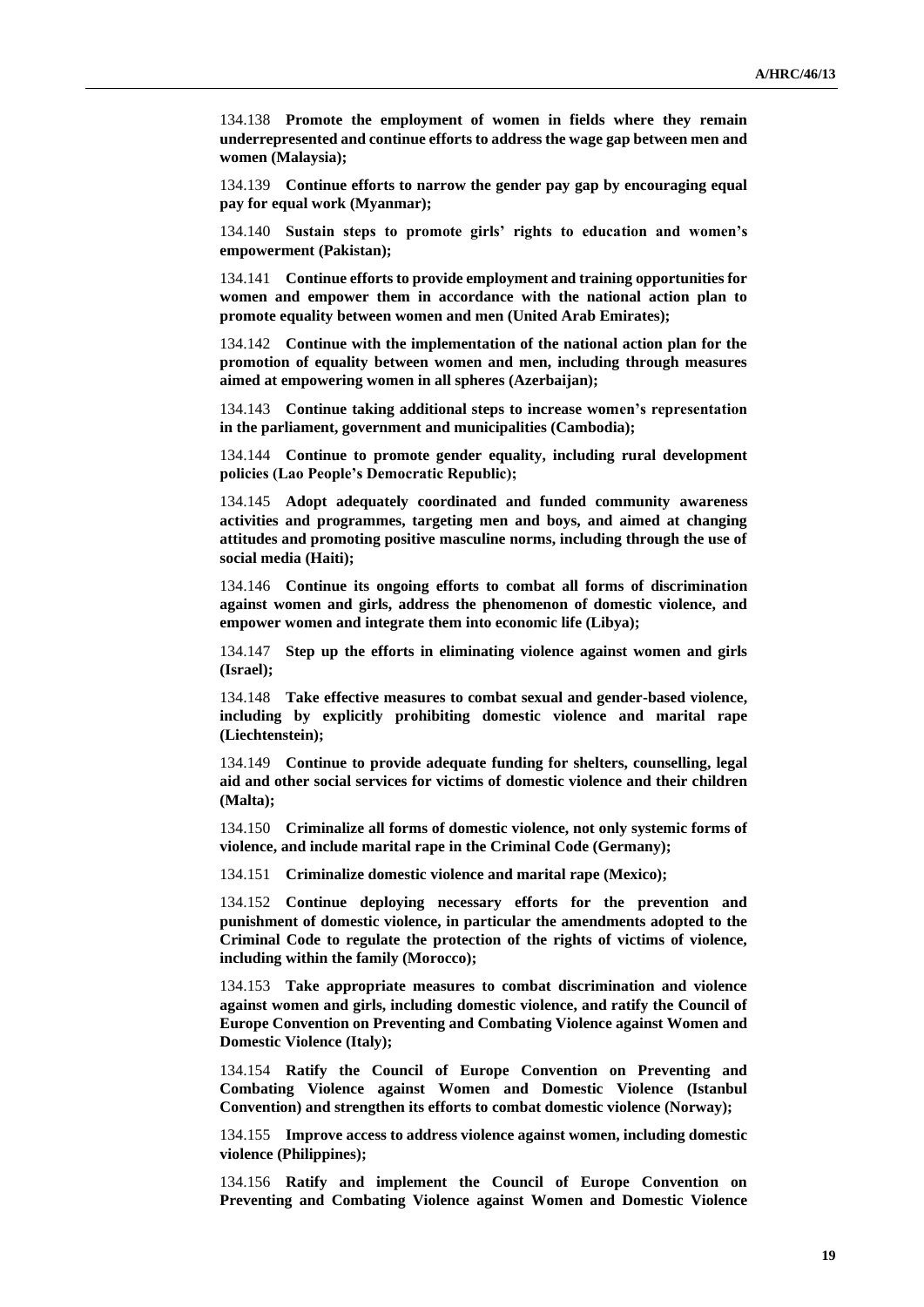134.138 **Promote the employment of women in fields where they remain underrepresented and continue efforts to address the wage gap between men and women (Malaysia);**

134.139 **Continue efforts to narrow the gender pay gap by encouraging equal pay for equal work (Myanmar);**

134.140 **Sustain steps to promote girls' rights to education and women's empowerment (Pakistan);**

134.141 **Continue efforts to provide employment and training opportunities for women and empower them in accordance with the national action plan to promote equality between women and men (United Arab Emirates);**

134.142 **Continue with the implementation of the national action plan for the promotion of equality between women and men, including through measures aimed at empowering women in all spheres (Azerbaijan);**

134.143 **Continue taking additional steps to increase women's representation in the parliament, government and municipalities (Cambodia);**

134.144 **Continue to promote gender equality, including rural development policies (Lao People's Democratic Republic);**

134.145 **Adopt adequately coordinated and funded community awareness activities and programmes, targeting men and boys, and aimed at changing attitudes and promoting positive masculine norms, including through the use of social media (Haiti);**

134.146 **Continue its ongoing efforts to combat all forms of discrimination against women and girls, address the phenomenon of domestic violence, and empower women and integrate them into economic life (Libya);**

134.147 **Step up the efforts in eliminating violence against women and girls (Israel);**

134.148 **Take effective measures to combat sexual and gender-based violence, including by explicitly prohibiting domestic violence and marital rape (Liechtenstein);**

134.149 **Continue to provide adequate funding for shelters, counselling, legal aid and other social services for victims of domestic violence and their children (Malta);**

134.150 **Criminalize all forms of domestic violence, not only systemic forms of violence, and include marital rape in the Criminal Code (Germany);**

134.151 **Criminalize domestic violence and marital rape (Mexico);**

134.152 **Continue deploying necessary efforts for the prevention and punishment of domestic violence, in particular the amendments adopted to the Criminal Code to regulate the protection of the rights of victims of violence, including within the family (Morocco);**

134.153 **Take appropriate measures to combat discrimination and violence against women and girls, including domestic violence, and ratify the Council of Europe Convention on Preventing and Combating Violence against Women and Domestic Violence (Italy);**

134.154 **Ratify the Council of Europe Convention on Preventing and Combating Violence against Women and Domestic Violence (Istanbul Convention) and strengthen its efforts to combat domestic violence (Norway);**

134.155 **Improve access to address violence against women, including domestic violence (Philippines);**

134.156 **Ratify and implement the Council of Europe Convention on Preventing and Combating Violence against Women and Domestic Violence**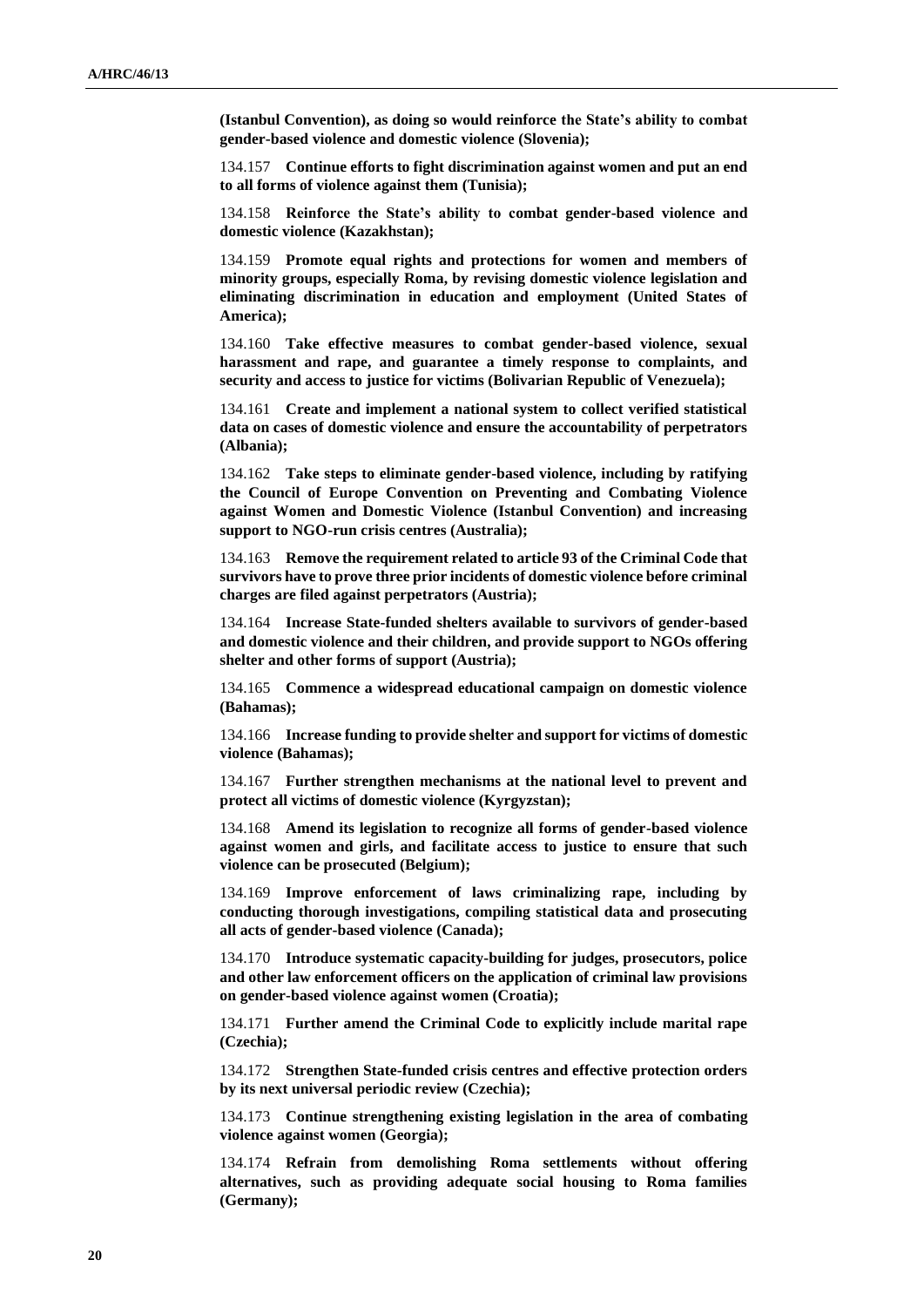**(Istanbul Convention), as doing so would reinforce the State's ability to combat gender-based violence and domestic violence (Slovenia);**

134.157 **Continue efforts to fight discrimination against women and put an end to all forms of violence against them (Tunisia);**

134.158 **Reinforce the State's ability to combat gender-based violence and domestic violence (Kazakhstan);**

134.159 **Promote equal rights and protections for women and members of minority groups, especially Roma, by revising domestic violence legislation and eliminating discrimination in education and employment (United States of America);**

134.160 **Take effective measures to combat gender-based violence, sexual harassment and rape, and guarantee a timely response to complaints, and security and access to justice for victims (Bolivarian Republic of Venezuela);**

134.161 **Create and implement a national system to collect verified statistical data on cases of domestic violence and ensure the accountability of perpetrators (Albania);**

134.162 **Take steps to eliminate gender-based violence, including by ratifying the Council of Europe Convention on Preventing and Combating Violence against Women and Domestic Violence (Istanbul Convention) and increasing support to NGO-run crisis centres (Australia);**

134.163 **Remove the requirement related to article 93 of the Criminal Code that survivors have to prove three prior incidents of domestic violence before criminal charges are filed against perpetrators (Austria);**

134.164 **Increase State-funded shelters available to survivors of gender-based and domestic violence and their children, and provide support to NGOs offering shelter and other forms of support (Austria);**

134.165 **Commence a widespread educational campaign on domestic violence (Bahamas);**

134.166 **Increase funding to provide shelter and support for victims of domestic violence (Bahamas);**

134.167 **Further strengthen mechanisms at the national level to prevent and protect all victims of domestic violence (Kyrgyzstan);**

134.168 **Amend its legislation to recognize all forms of gender-based violence against women and girls, and facilitate access to justice to ensure that such violence can be prosecuted (Belgium);**

134.169 **Improve enforcement of laws criminalizing rape, including by conducting thorough investigations, compiling statistical data and prosecuting all acts of gender-based violence (Canada);**

134.170 **Introduce systematic capacity-building for judges, prosecutors, police and other law enforcement officers on the application of criminal law provisions on gender-based violence against women (Croatia);**

134.171 **Further amend the Criminal Code to explicitly include marital rape (Czechia);**

134.172 **Strengthen State-funded crisis centres and effective protection orders by its next universal periodic review (Czechia);**

134.173 **Continue strengthening existing legislation in the area of combating violence against women (Georgia);**

134.174 **Refrain from demolishing Roma settlements without offering alternatives, such as providing adequate social housing to Roma families (Germany);**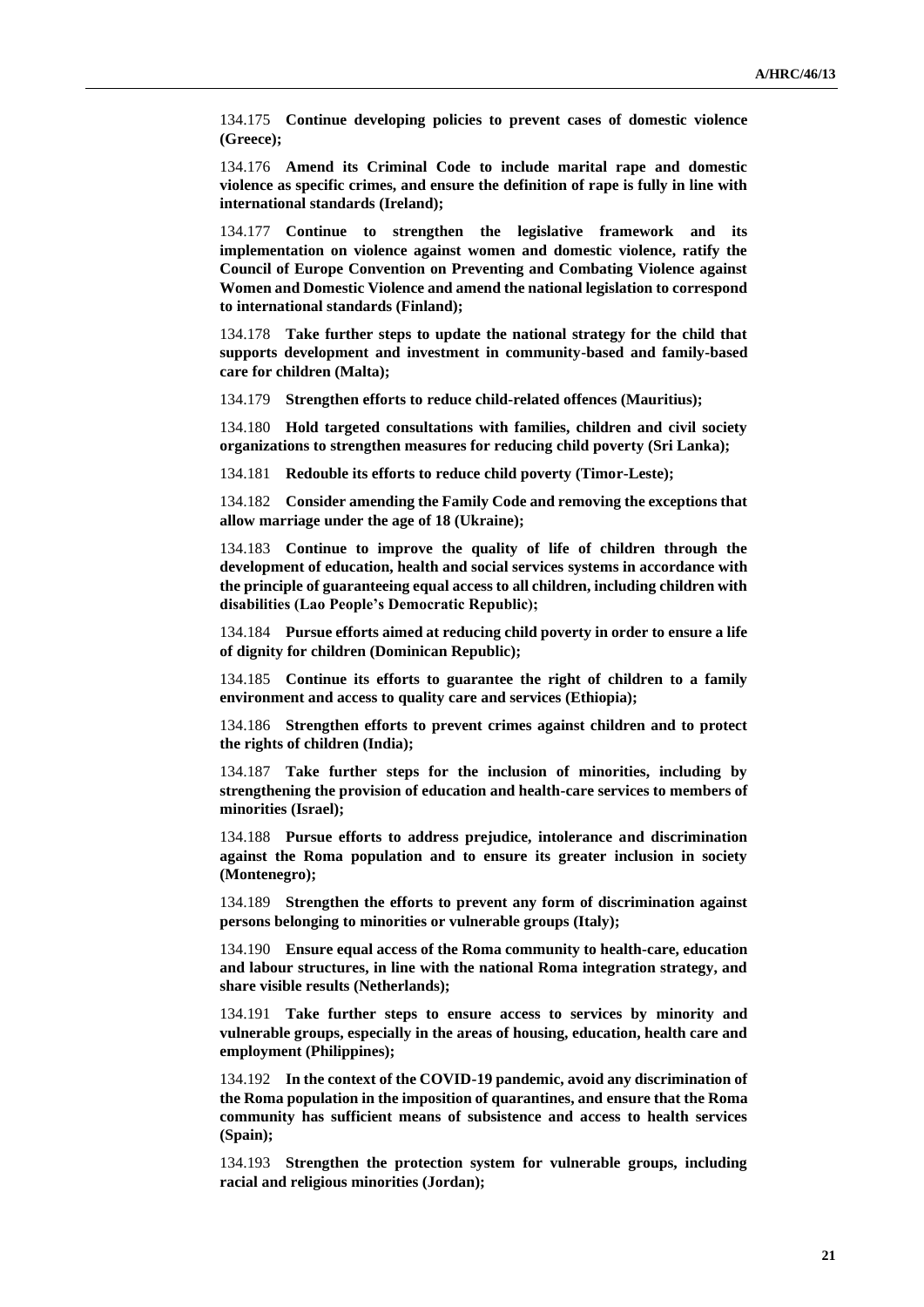134.175 **Continue developing policies to prevent cases of domestic violence (Greece);**

134.176 **Amend its Criminal Code to include marital rape and domestic violence as specific crimes, and ensure the definition of rape is fully in line with international standards (Ireland);**

134.177 **Continue to strengthen the legislative framework and its implementation on violence against women and domestic violence, ratify the Council of Europe Convention on Preventing and Combating Violence against Women and Domestic Violence and amend the national legislation to correspond to international standards (Finland);**

134.178 **Take further steps to update the national strategy for the child that supports development and investment in community-based and family-based care for children (Malta);**

134.179 **Strengthen efforts to reduce child-related offences (Mauritius);**

134.180 **Hold targeted consultations with families, children and civil society organizations to strengthen measures for reducing child poverty (Sri Lanka);**

134.181 **Redouble its efforts to reduce child poverty (Timor-Leste);**

134.182 **Consider amending the Family Code and removing the exceptions that allow marriage under the age of 18 (Ukraine);**

134.183 **Continue to improve the quality of life of children through the development of education, health and social services systems in accordance with the principle of guaranteeing equal access to all children, including children with disabilities (Lao People's Democratic Republic);**

134.184 **Pursue efforts aimed at reducing child poverty in order to ensure a life of dignity for children (Dominican Republic);**

134.185 **Continue its efforts to guarantee the right of children to a family environment and access to quality care and services (Ethiopia);**

134.186 **Strengthen efforts to prevent crimes against children and to protect the rights of children (India);**

134.187 **Take further steps for the inclusion of minorities, including by strengthening the provision of education and health-care services to members of minorities (Israel);**

134.188 **Pursue efforts to address prejudice, intolerance and discrimination against the Roma population and to ensure its greater inclusion in society (Montenegro);**

134.189 **Strengthen the efforts to prevent any form of discrimination against persons belonging to minorities or vulnerable groups (Italy);**

134.190 **Ensure equal access of the Roma community to health-care, education and labour structures, in line with the national Roma integration strategy, and share visible results (Netherlands);**

134.191 **Take further steps to ensure access to services by minority and vulnerable groups, especially in the areas of housing, education, health care and employment (Philippines);**

134.192 **In the context of the COVID-19 pandemic, avoid any discrimination of the Roma population in the imposition of quarantines, and ensure that the Roma community has sufficient means of subsistence and access to health services (Spain);**

134.193 **Strengthen the protection system for vulnerable groups, including racial and religious minorities (Jordan);**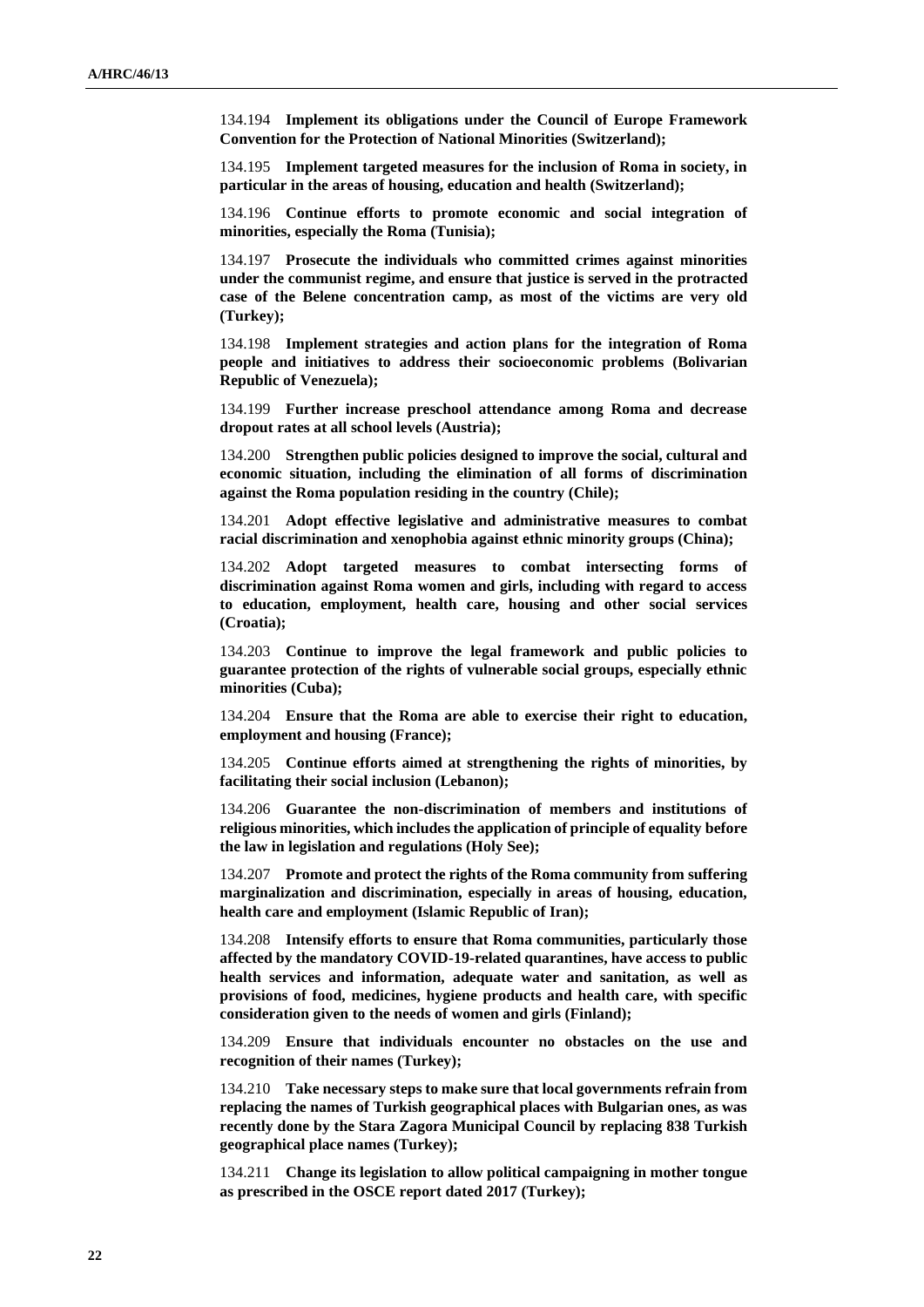134.194 **Implement its obligations under the Council of Europe Framework Convention for the Protection of National Minorities (Switzerland);**

134.195 **Implement targeted measures for the inclusion of Roma in society, in particular in the areas of housing, education and health (Switzerland);**

134.196 **Continue efforts to promote economic and social integration of minorities, especially the Roma (Tunisia);**

134.197 **Prosecute the individuals who committed crimes against minorities under the communist regime, and ensure that justice is served in the protracted case of the Belene concentration camp, as most of the victims are very old (Turkey);**

134.198 **Implement strategies and action plans for the integration of Roma people and initiatives to address their socioeconomic problems (Bolivarian Republic of Venezuela);**

134.199 **Further increase preschool attendance among Roma and decrease dropout rates at all school levels (Austria);**

134.200 **Strengthen public policies designed to improve the social, cultural and economic situation, including the elimination of all forms of discrimination against the Roma population residing in the country (Chile);**

134.201 **Adopt effective legislative and administrative measures to combat racial discrimination and xenophobia against ethnic minority groups (China);**

134.202 **Adopt targeted measures to combat intersecting forms of discrimination against Roma women and girls, including with regard to access to education, employment, health care, housing and other social services (Croatia);**

134.203 **Continue to improve the legal framework and public policies to guarantee protection of the rights of vulnerable social groups, especially ethnic minorities (Cuba);**

134.204 **Ensure that the Roma are able to exercise their right to education, employment and housing (France);**

134.205 **Continue efforts aimed at strengthening the rights of minorities, by facilitating their social inclusion (Lebanon);**

134.206 **Guarantee the non-discrimination of members and institutions of religious minorities, which includes the application of principle of equality before the law in legislation and regulations (Holy See);**

134.207 **Promote and protect the rights of the Roma community from suffering marginalization and discrimination, especially in areas of housing, education, health care and employment (Islamic Republic of Iran);**

134.208 **Intensify efforts to ensure that Roma communities, particularly those affected by the mandatory COVID-19-related quarantines, have access to public health services and information, adequate water and sanitation, as well as provisions of food, medicines, hygiene products and health care, with specific consideration given to the needs of women and girls (Finland);**

134.209 **Ensure that individuals encounter no obstacles on the use and recognition of their names (Turkey);**

134.210 **Take necessary steps to make sure that local governments refrain from replacing the names of Turkish geographical places with Bulgarian ones, as was recently done by the Stara Zagora Municipal Council by replacing 838 Turkish geographical place names (Turkey);**

134.211 **Change its legislation to allow political campaigning in mother tongue as prescribed in the OSCE report dated 2017 (Turkey);**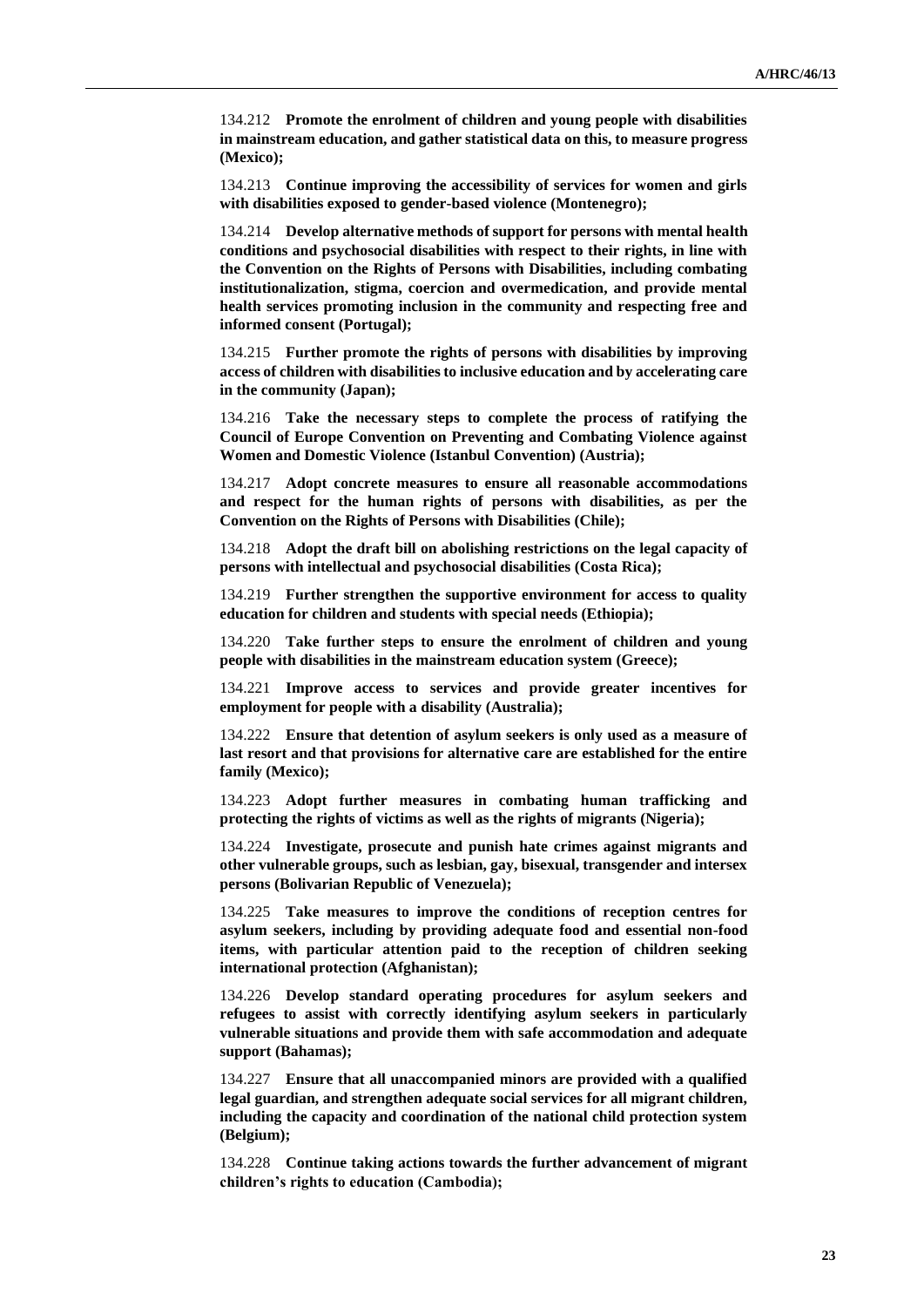134.212 **Promote the enrolment of children and young people with disabilities in mainstream education, and gather statistical data on this, to measure progress (Mexico);**

134.213 **Continue improving the accessibility of services for women and girls with disabilities exposed to gender-based violence (Montenegro);**

134.214 **Develop alternative methods of support for persons with mental health conditions and psychosocial disabilities with respect to their rights, in line with the Convention on the Rights of Persons with Disabilities, including combating institutionalization, stigma, coercion and overmedication, and provide mental health services promoting inclusion in the community and respecting free and informed consent (Portugal);**

134.215 **Further promote the rights of persons with disabilities by improving access of children with disabilities to inclusive education and by accelerating care in the community (Japan);**

134.216 **Take the necessary steps to complete the process of ratifying the Council of Europe Convention on Preventing and Combating Violence against Women and Domestic Violence (Istanbul Convention) (Austria);**

134.217 **Adopt concrete measures to ensure all reasonable accommodations and respect for the human rights of persons with disabilities, as per the Convention on the Rights of Persons with Disabilities (Chile);**

134.218 **Adopt the draft bill on abolishing restrictions on the legal capacity of persons with intellectual and psychosocial disabilities (Costa Rica);**

134.219 **Further strengthen the supportive environment for access to quality education for children and students with special needs (Ethiopia);**

134.220 **Take further steps to ensure the enrolment of children and young people with disabilities in the mainstream education system (Greece);**

134.221 **Improve access to services and provide greater incentives for employment for people with a disability (Australia);**

134.222 **Ensure that detention of asylum seekers is only used as a measure of last resort and that provisions for alternative care are established for the entire family (Mexico);**

134.223 **Adopt further measures in combating human trafficking and protecting the rights of victims as well as the rights of migrants (Nigeria);**

134.224 **Investigate, prosecute and punish hate crimes against migrants and other vulnerable groups, such as lesbian, gay, bisexual, transgender and intersex persons (Bolivarian Republic of Venezuela);**

134.225 **Take measures to improve the conditions of reception centres for asylum seekers, including by providing adequate food and essential non-food items, with particular attention paid to the reception of children seeking international protection (Afghanistan);**

134.226 **Develop standard operating procedures for asylum seekers and refugees to assist with correctly identifying asylum seekers in particularly vulnerable situations and provide them with safe accommodation and adequate support (Bahamas);**

134.227 **Ensure that all unaccompanied minors are provided with a qualified legal guardian, and strengthen adequate social services for all migrant children, including the capacity and coordination of the national child protection system (Belgium);**

134.228 **Continue taking actions towards the further advancement of migrant children's rights to education (Cambodia);**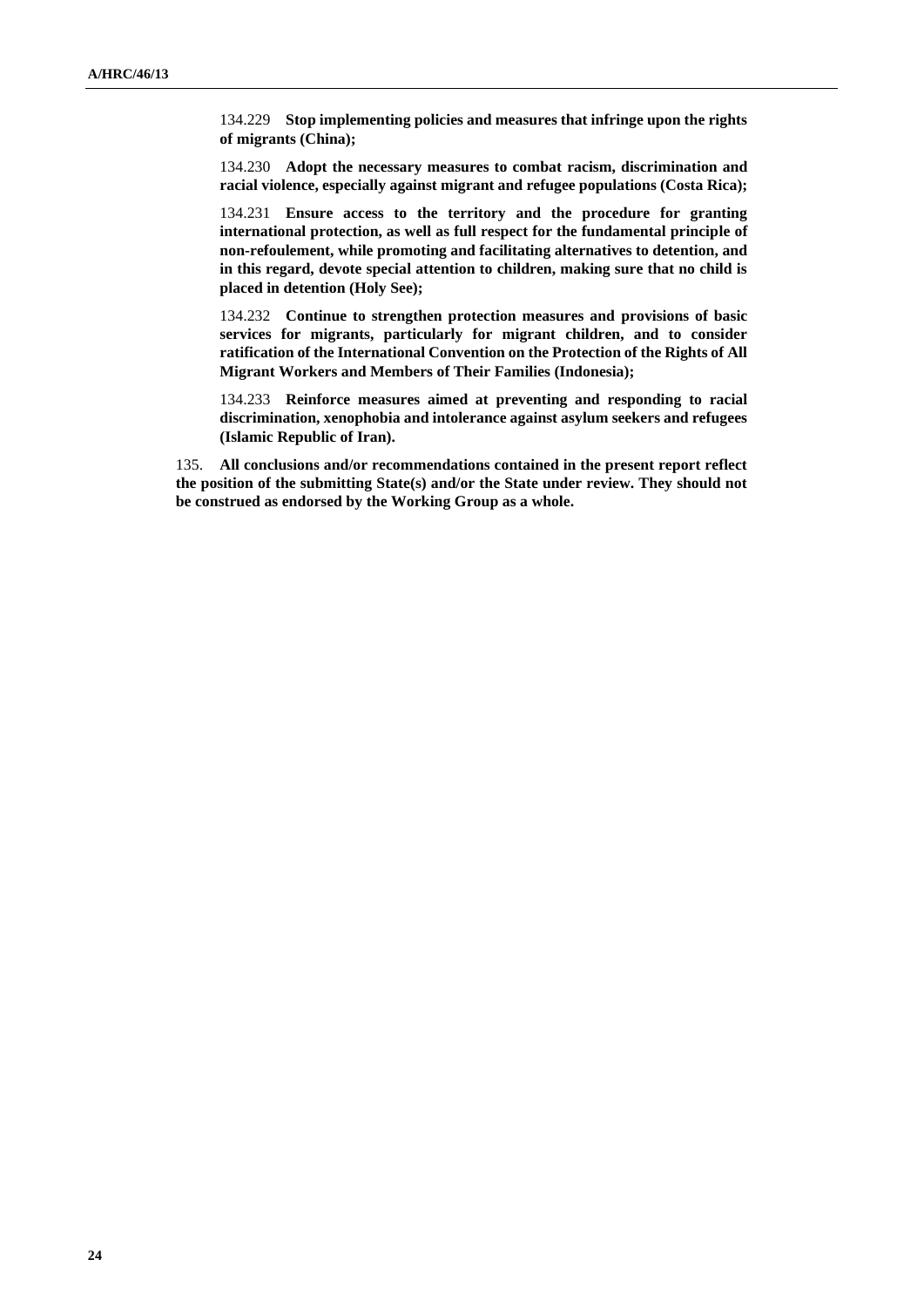134.229 **Stop implementing policies and measures that infringe upon the rights of migrants (China);**

134.230 **Adopt the necessary measures to combat racism, discrimination and racial violence, especially against migrant and refugee populations (Costa Rica);**

134.231 **Ensure access to the territory and the procedure for granting international protection, as well as full respect for the fundamental principle of non-refoulement, while promoting and facilitating alternatives to detention, and in this regard, devote special attention to children, making sure that no child is placed in detention (Holy See);**

134.232 **Continue to strengthen protection measures and provisions of basic services for migrants, particularly for migrant children, and to consider ratification of the International Convention on the Protection of the Rights of All Migrant Workers and Members of Their Families (Indonesia);**

134.233 **Reinforce measures aimed at preventing and responding to racial discrimination, xenophobia and intolerance against asylum seekers and refugees (Islamic Republic of Iran).**

135. **All conclusions and/or recommendations contained in the present report reflect the position of the submitting State(s) and/or the State under review. They should not be construed as endorsed by the Working Group as a whole.**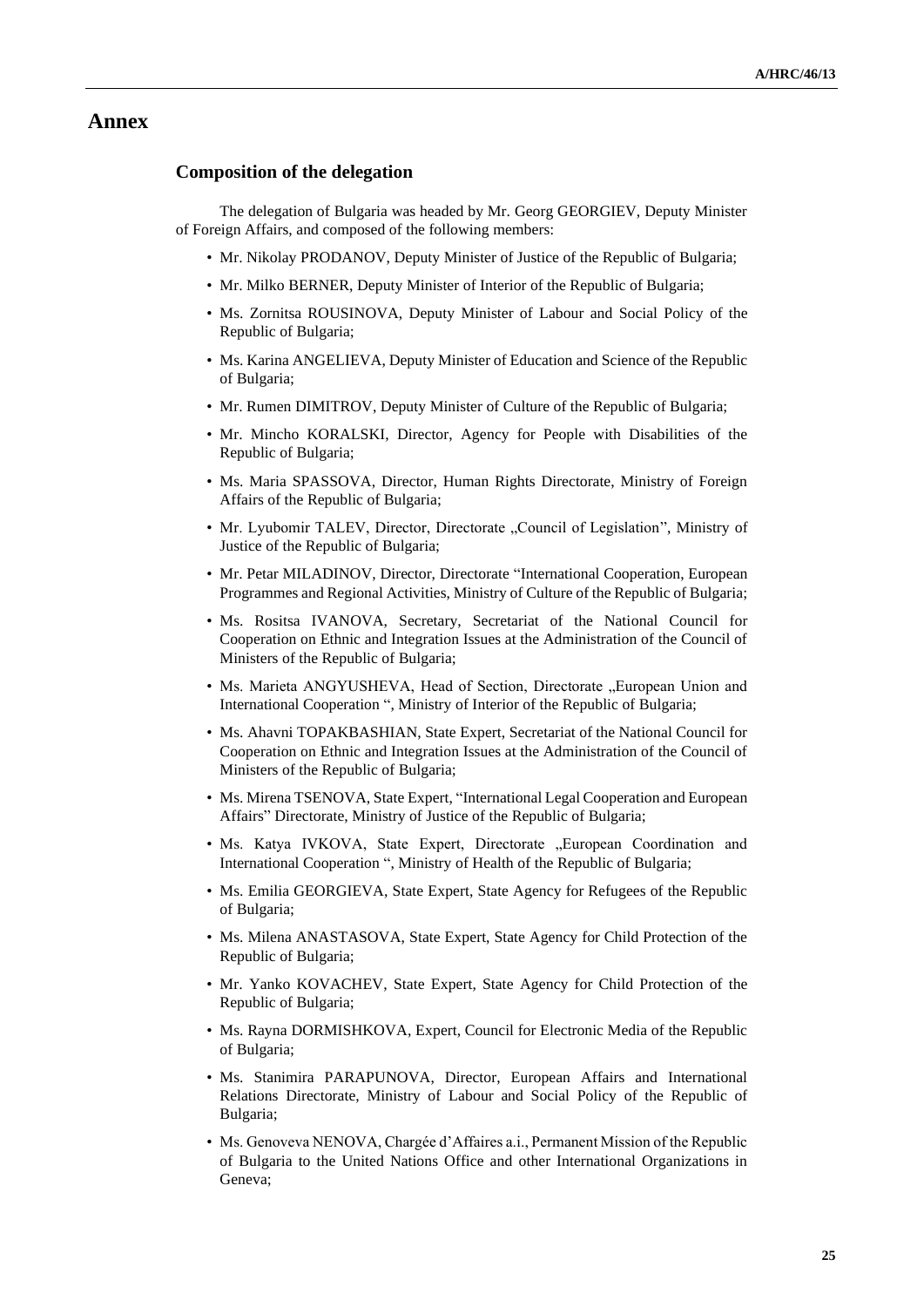## **Annex**

### **Composition of the delegation**

The delegation of Bulgaria was headed by Mr. Georg GEORGIEV, Deputy Minister of Foreign Affairs, and composed of the following members:

- Mr. Nikolay PRODANOV, Deputy Minister of Justice of the Republic of Bulgaria;
- Mr. Milko BERNER, Deputy Minister of Interior of the Republic of Bulgaria;
- Ms. Zornitsa ROUSINOVA, Deputy Minister of Labour and Social Policy of the Republic of Bulgaria;
- Ms. Karina ANGELIEVA, Deputy Minister of Education and Science of the Republic of Bulgaria;
- Mr. Rumen DIMITROV, Deputy Minister of Culture of the Republic of Bulgaria;
- Mr. Mincho KORALSKI, Director, Agency for People with Disabilities of the Republic of Bulgaria;
- Ms. Maria SPASSOVA, Director, Human Rights Directorate, Ministry of Foreign Affairs of the Republic of Bulgaria;
- Mr. Lyubomir TALEV, Director, Directorate "Council of Legislation", Ministry of Justice of the Republic of Bulgaria;
- Mr. Petar MILADINOV, Director, Directorate "International Cooperation, European Programmes and Regional Activities, Ministry of Culture of the Republic of Bulgaria;
- Ms. Rositsa IVANOVA, Secretary, Secretariat of the National Council for Cooperation on Ethnic and Integration Issues at the Administration of the Council of Ministers of the Republic of Bulgaria;
- Ms. Marieta ANGYUSHEVA, Head of Section, Directorate "European Union and International Cooperation ", Ministry of Interior of the Republic of Bulgaria;
- Ms. Ahavni TOPAKBASHIAN, State Expert, Secretariat of the National Council for Cooperation on Ethnic and Integration Issues at the Administration of the Council of Ministers of the Republic of Bulgaria;
- Ms. Mirena TSENOVA, State Expert, "International Legal Cooperation and European Affairs" Directorate, Ministry of Justice of the Republic of Bulgaria;
- Ms. Katya IVKOVA, State Expert, Directorate "European Coordination and International Cooperation ", Ministry of Health of the Republic of Bulgaria;
- Ms. Emilia GEORGIEVA, State Expert, State Agency for Refugees of the Republic of Bulgaria;
- Ms. Milena ANASTASOVA, State Expert, State Agency for Child Protection of the Republic of Bulgaria;
- Mr. Yanko KOVACHEV, State Expert, State Agency for Child Protection of the Republic of Bulgaria;
- Ms. Rayna DORMISHKOVA, Expert, Council for Electronic Media of the Republic of Bulgaria;
- Ms. Stanimira PARAPUNOVA, Director, European Affairs and International Relations Directorate, Ministry of Labour and Social Policy of the Republic of Bulgaria;
- Ms. Genoveva NENOVA, Chargée d'Affaires a.i., Permanent Mission of the Republic of Bulgaria to the United Nations Office and other International Organizations in Geneva;